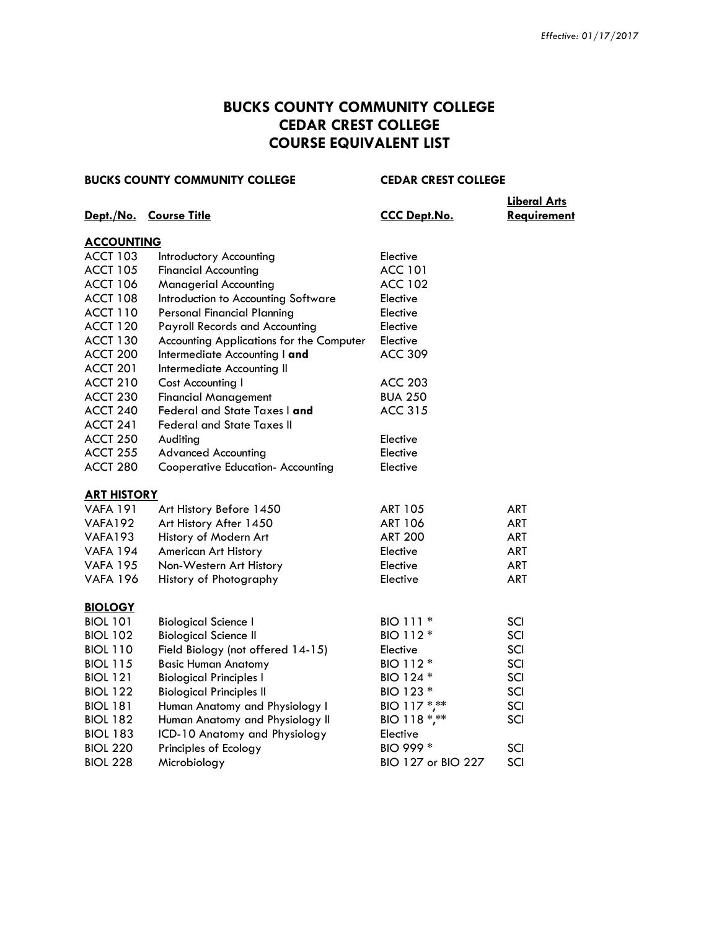# **BUCKS COUNTY COMMUNITY COLLEGE CEDAR CREST COLLEGE COURSE EQUIVALENT LIST**

| <b>BUCKS COUNTY COMMUNITY COLLEGE</b> |                                          | <b>CEDAR CREST COLLEGE</b> |                                    |  |
|---------------------------------------|------------------------------------------|----------------------------|------------------------------------|--|
|                                       | Dept./No. Course Title                   | <b>CCC Dept.No.</b>        | <b>Liberal Arts</b><br>Requirement |  |
| <b>ACCOUNTING</b>                     |                                          |                            |                                    |  |
| <b>ACCT 103</b>                       | Introductory Accounting                  | Elective                   |                                    |  |
| <b>ACCT 105</b>                       | <b>Financial Accounting</b>              | <b>ACC 101</b>             |                                    |  |
| ACCT 106                              | <b>Managerial Accounting</b>             | ACC 102                    |                                    |  |
| <b>ACCT 108</b>                       | Introduction to Accounting Software      | Elective                   |                                    |  |
| ACCT 110                              | <b>Personal Financial Planning</b>       | Elective                   |                                    |  |
| <b>ACCT 120</b>                       | <b>Payroll Records and Accounting</b>    | Elective                   |                                    |  |
| <b>ACCT 130</b>                       | Accounting Applications for the Computer | Elective                   |                                    |  |
| ACCT 200                              | Intermediate Accounting I and            | <b>ACC 309</b>             |                                    |  |
| ACCT 201                              | Intermediate Accounting II               |                            |                                    |  |
| <b>ACCT 210</b>                       | Cost Accounting I                        | <b>ACC 203</b>             |                                    |  |
| ACCT 230                              | <b>Financial Management</b>              | <b>BUA 250</b>             |                                    |  |
| ACCT 240                              | Federal and State Taxes I and            | <b>ACC 315</b>             |                                    |  |
| <b>ACCT 241</b>                       | <b>Federal and State Taxes II</b>        |                            |                                    |  |
| <b>ACCT 250</b>                       | Auditing                                 | Elective                   |                                    |  |
| <b>ACCT 255</b>                       | <b>Advanced Accounting</b>               | Elective                   |                                    |  |
| ACCT 280                              | <b>Cooperative Education- Accounting</b> | Elective                   |                                    |  |
| <b>ART HISTORY</b>                    |                                          |                            |                                    |  |
| <b>VAFA 191</b>                       | Art History Before 1450                  | <b>ART 105</b>             | <b>ART</b>                         |  |
| VAFA192                               | Art History After 1450                   | <b>ART 106</b>             | ART                                |  |
| VAFA193                               | History of Modern Art                    | <b>ART 200</b>             | ART                                |  |
| VAFA 194                              | <b>American Art History</b>              | Elective                   | <b>ART</b>                         |  |
| VAFA 195                              | Non-Western Art History                  | Elective                   | ART                                |  |
| VAFA 196                              | History of Photography                   | Elective                   | <b>ART</b>                         |  |
| <b>BIOLOGY</b>                        |                                          |                            |                                    |  |
| <b>BIOL 101</b>                       | <b>Biological Science I</b>              | BIO 111 *                  | SCI                                |  |
| <b>BIOL 102</b>                       | <b>Biological Science II</b>             | BIO 112 *                  | SCI                                |  |
| <b>BIOL 110</b>                       | Field Biology (not offered 14-15)        | Elective                   | SCI                                |  |
| <b>BIOL 115</b>                       | <b>Basic Human Anatomy</b>               | BIO 112 *                  | SCI                                |  |
| <b>BIOL 121</b>                       | <b>Biological Principles I</b>           | BIO 124 *                  | SCI                                |  |
| <b>BIOL 122</b>                       | <b>Biological Principles II</b>          | BIO 123 *                  | SCI                                |  |
| <b>BIOL 181</b>                       | Human Anatomy and Physiology I           | BIO 117 <sup>*</sup> ,**   | SCI                                |  |
| <b>BIOL 182</b>                       | Human Anatomy and Physiology II          | BIO 118 $*$ , **           | SCI                                |  |
| <b>BIOL 183</b>                       | ICD-10 Anatomy and Physiology            | Elective                   |                                    |  |
| <b>BIOL 220</b>                       | Principles of Ecology                    | BIO 999 *                  | SCI                                |  |
| <b>BIOL 228</b>                       | Microbiology                             | BIO 127 or BIO 227         | SCI                                |  |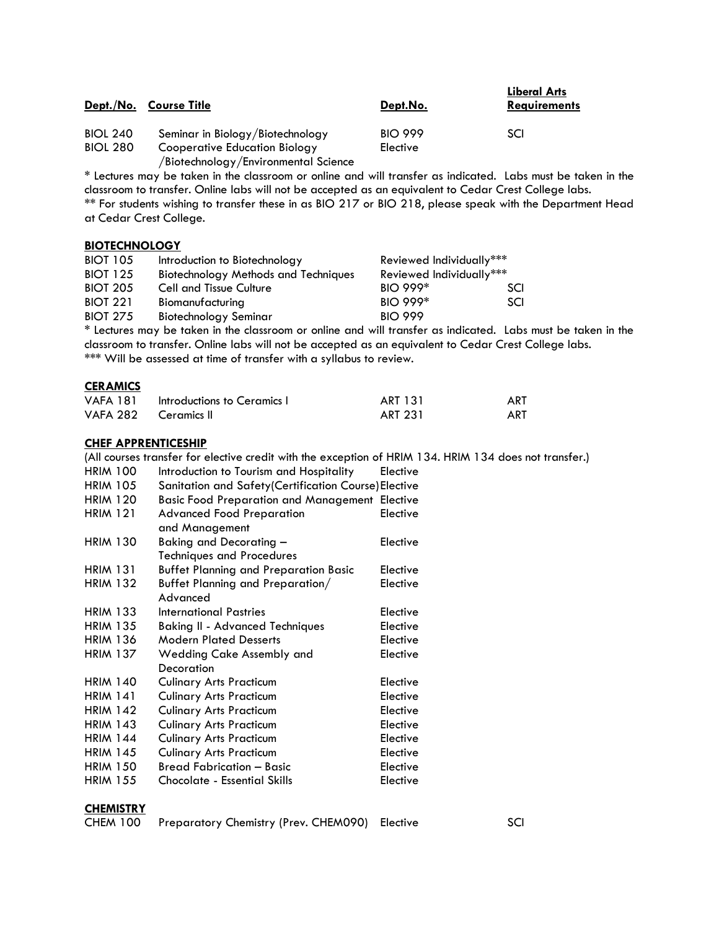|                 | Dept./No. Course Title                                                | Dept.No.       | Liberal Arts<br><b>Requirements</b> |
|-----------------|-----------------------------------------------------------------------|----------------|-------------------------------------|
| <b>BIOL 240</b> | Seminar in Biology/Biotechnology                                      | <b>BIO 999</b> | SCI                                 |
| <b>BIOL 280</b> | Cooperative Education Biology<br>/Biotechnology/Environmental Science | Elective       |                                     |

\* Lectures may be taken in the classroom or online and will transfer as indicated. Labs must be taken in the classroom to transfer. Online labs will not be accepted as an equivalent to Cedar Crest College labs. \*\* For students wishing to transfer these in as BIO 217 or BIO 218, please speak with the Department Head at Cedar Crest College.

## **[BIOTECHNOLOGY](http://www.bucks.edu/catalog/courses/math/biotechnology/)**

| <b>BIOT 105</b> | Introduction to Biotechnology               | Reviewed Individually*** |     |
|-----------------|---------------------------------------------|--------------------------|-----|
| <b>BIOT 125</b> | <b>Biotechnology Methods and Techniques</b> | Reviewed Individually*** |     |
| <b>BIOT 205</b> | <b>Cell and Tissue Culture</b>              | <b>BIO 999*</b>          | SCI |
| <b>BIOT 221</b> | Biomanufacturing                            | $BIO.999*$               | SCI |
| <b>BIOT 275</b> | Biotechnology Seminar                       | <b>BIO 999</b>           |     |

\* Lectures may be taken in the classroom or online and will transfer as indicated. Labs must be taken in the classroom to transfer. Online labs will not be accepted as an equivalent to Cedar Crest College labs. \*\*\* Will be assessed at time of transfer with a syllabus to review.

## **[CERAMICS](http://www.bucks.edu/catalog/courses/arts/ceramics/)**

| <b>VAFA 181</b>      | Introductions to Ceramics I | ART 131        | ART |
|----------------------|-----------------------------|----------------|-----|
| VAFA 282 Ceramics II |                             | <b>ART 231</b> | ART |

#### **[CHEF APPRENTICESHIP](http://www.bucks.edu/catalog/courses/business/culinary/)**

(All courses transfer for elective credit with the exception of HRIM 134. HRIM 134 does not transfer.)

| <b>HRIM 100</b> | Introduction to Tourism and Hospitality               | Elective |
|-----------------|-------------------------------------------------------|----------|
| <b>HRIM 105</b> | Sanitation and Safety (Certification Course) Elective |          |
| <b>HRIM 120</b> | <b>Basic Food Preparation and Management Elective</b> |          |
| <b>HRIM 121</b> | <b>Advanced Food Preparation</b>                      | Elective |
|                 | and Management                                        |          |
| <b>HRIM 130</b> | Baking and Decorating -                               | Elective |
|                 | <b>Techniques and Procedures</b>                      |          |
| <b>HRIM 131</b> | <b>Buffet Planning and Preparation Basic</b>          | Elective |
| <b>HRIM 132</b> | Buffet Planning and Preparation/                      | Elective |
|                 | Advanced                                              |          |
| <b>HRIM 133</b> | International Pastries                                | Elective |
| <b>HRIM 135</b> | <b>Baking II - Advanced Techniques</b>                | Elective |
| HRIM 136        | <b>Modern Plated Desserts</b>                         | Elective |
| <b>HRIM 137</b> | Wedding Cake Assembly and                             | Elective |
|                 | Decoration                                            |          |
| <b>HRIM 140</b> | <b>Culinary Arts Practicum</b>                        | Elective |
| <b>HRIM 141</b> | <b>Culinary Arts Practicum</b>                        | Elective |
| <b>HRIM 142</b> | <b>Culinary Arts Practicum</b>                        | Elective |
| <b>HRIM 143</b> | <b>Culinary Arts Practicum</b>                        | Elective |
| <b>HRIM 144</b> | <b>Culinary Arts Practicum</b>                        | Elective |
| <b>HRIM 145</b> | <b>Culinary Arts Practicum</b>                        | Elective |
| <b>HRIM 150</b> | <b>Bread Fabrication - Basic</b>                      | Elective |
| <b>HRIM 155</b> | Chocolate - Essential Skills                          | Elective |
|                 |                                                       |          |

## **[CHEMISTRY](http://www.bucks.edu/catalog/courses/math/chemistry/)**

CHEM 100 Preparatory Chemistry (Prev. CHEM090) Elective SCI

**Liberal Arts**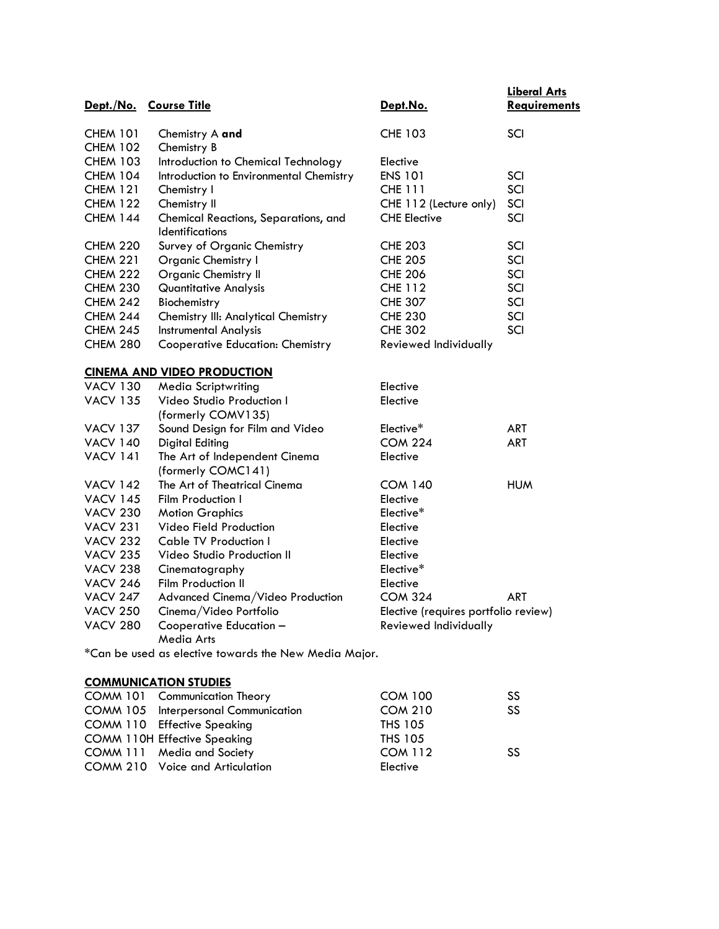|                 | Dept./No. Course Title                                                       | Dept.No.                             | <b>Liberal Arts</b><br><b>Requirements</b> |
|-----------------|------------------------------------------------------------------------------|--------------------------------------|--------------------------------------------|
| <b>CHEM 101</b> | Chemistry A and                                                              | <b>CHE 103</b>                       | SCI                                        |
| <b>CHEM 102</b> | Chemistry B                                                                  |                                      |                                            |
| <b>CHEM 103</b> | Introduction to Chemical Technology                                          | Elective                             |                                            |
| <b>CHEM 104</b> | Introduction to Environmental Chemistry                                      | <b>ENS 101</b>                       | SCI                                        |
| <b>CHEM 121</b> | Chemistry I                                                                  | <b>CHE 111</b>                       | SCI                                        |
| <b>CHEM 122</b> | Chemistry II                                                                 | CHE 112 (Lecture only)               | SCI                                        |
| <b>CHEM 144</b> | Chemical Reactions, Separations, and<br><i><u><b>Identifications</b></u></i> | <b>CHE Elective</b>                  | SCI                                        |
| <b>CHEM 220</b> | Survey of Organic Chemistry                                                  | <b>CHE 203</b>                       | SCI                                        |
| <b>CHEM 221</b> | Organic Chemistry I                                                          | <b>CHE 205</b>                       | SCI                                        |
| CHEM 222        | <b>Organic Chemistry II</b>                                                  | <b>CHE 206</b>                       | SCI                                        |
| <b>CHEM 230</b> | <b>Quantitative Analysis</b>                                                 | <b>CHE 112</b>                       | SCI                                        |
| <b>CHEM 242</b> | Biochemistry                                                                 | <b>CHE 307</b>                       | SCI                                        |
| <b>CHEM 244</b> | Chemistry III: Analytical Chemistry                                          | <b>CHE 230</b>                       | SCI                                        |
| <b>CHEM 245</b> | <b>Instrumental Analysis</b>                                                 | <b>CHE 302</b>                       | SCI                                        |
| <b>CHEM 280</b> | <b>Cooperative Education: Chemistry</b>                                      | Reviewed Individually                |                                            |
|                 | <b>CINEMA AND VIDEO PRODUCTION</b>                                           |                                      |                                            |
| <b>VACV 130</b> | <b>Media Scriptwriting</b>                                                   | Elective                             |                                            |
| <b>VACV 135</b> | Video Studio Production I                                                    | Elective                             |                                            |
|                 | (formerly COMV135)                                                           |                                      |                                            |
| <b>VACV 137</b> | Sound Design for Film and Video                                              | Elective*                            | <b>ART</b>                                 |
| <b>VACV 140</b> | <b>Digital Editing</b>                                                       | <b>COM 224</b>                       | <b>ART</b>                                 |
| <b>VACV 141</b> | The Art of Independent Cinema<br>(formerly COMC141)                          | Elective                             |                                            |
| <b>VACV 142</b> | The Art of Theatrical Cinema                                                 | <b>COM 140</b>                       | <b>HUM</b>                                 |
| <b>VACV 145</b> | Film Production I                                                            | Elective                             |                                            |
| <b>VACV 230</b> | <b>Motion Graphics</b>                                                       | Elective*                            |                                            |
| <b>VACV 231</b> | Video Field Production                                                       | Elective                             |                                            |
| <b>VACV 232</b> | Cable TV Production I                                                        | Elective                             |                                            |
| <b>VACV 235</b> | Video Studio Production II                                                   | Elective                             |                                            |
| <b>VACV 238</b> | Cinematography                                                               | Elective*                            |                                            |
| <b>VACV 246</b> | <b>Film Production II</b>                                                    | Elective                             |                                            |
| <b>VACV 247</b> | Advanced Cinema/Video Production                                             | COM 324                              | ART                                        |
| <b>VACV 250</b> | Cinema/Video Portfolio                                                       | Elective (requires portfolio review) |                                            |
| <b>VACV 280</b> | Cooperative Education -<br><b>Media Arts</b>                                 | Reviewed Individually                |                                            |
|                 | $\overline{C}$ an lea usaal ara alaatiya tayyaraa tha Naw Maalim Maisr       |                                      |                                            |

\*Can be used as elective towards the New Media Major.

# **[COMMUNICATION STUDIES](http://www.bucks.edu/catalog/courses/arts/communications/)**

| COMM 101 Communication Theory               | <b>COM 100</b> | SS |
|---------------------------------------------|----------------|----|
| <b>COMM 105</b> Interpersonal Communication | <b>COM 210</b> | SS |
| COMM 110 Effective Speaking                 | <b>THS 105</b> |    |
| COMM 110H Effective Speaking                | <b>THS 105</b> |    |
| COMM 111 Media and Society                  | <b>COM 112</b> | SS |
| COMM 210 Voice and Articulation             | Elective       |    |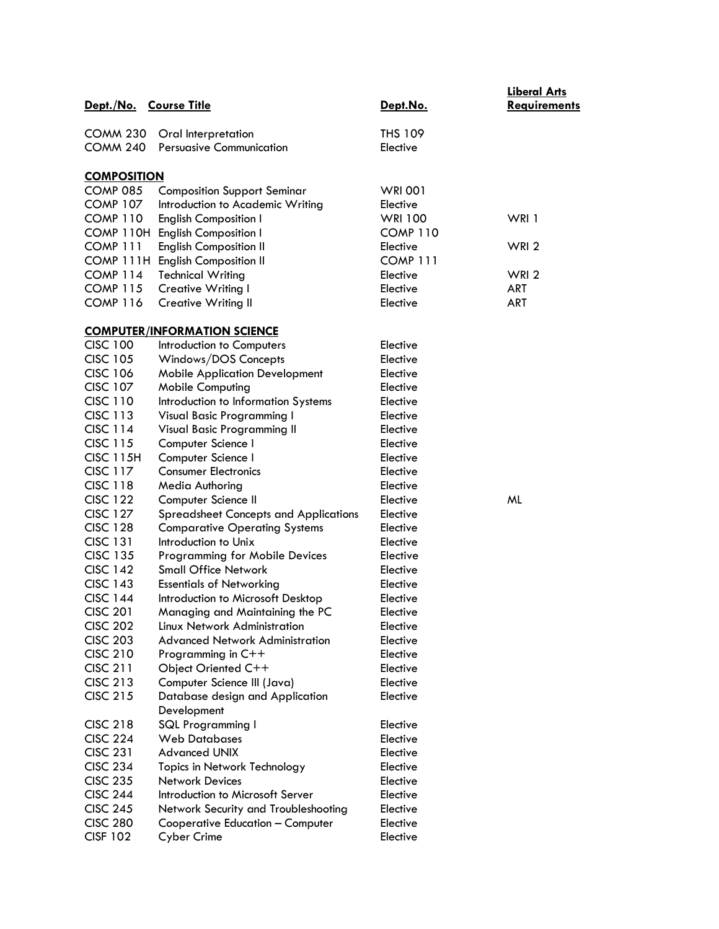| Dept./No. Course Title |                                                | Dept.No.            | <u> Liberal Arts</u><br><b>Requirements</b> |
|------------------------|------------------------------------------------|---------------------|---------------------------------------------|
| <b>COMM 230</b>        | Oral Interpretation                            | <b>THS 109</b>      |                                             |
| <b>COMM 240</b>        | <b>Persuasive Communication</b>                | Elective            |                                             |
| <b>COMPOSITION</b>     |                                                |                     |                                             |
| COMP 085               | <b>Composition Support Seminar</b>             | <b>WRI 001</b>      |                                             |
| <b>COMP 107</b>        | Introduction to Academic Writing               | Elective            |                                             |
| COMP <sub>110</sub>    | <b>English Composition I</b>                   | <b>WRI 100</b>      | WRI 1                                       |
| COMP 110H              | <b>English Composition I</b>                   | <b>COMP 110</b>     |                                             |
| COMP 111               | <b>English Composition II</b>                  | Elective            | WRI <sub>2</sub>                            |
|                        | COMP 111H English Composition II               | COMP <sub>111</sub> |                                             |
| COMP 114               | <b>Technical Writing</b>                       | Elective            | WRI <sub>2</sub>                            |
| <b>COMP 115</b>        | Creative Writing I                             | Elective            | <b>ART</b>                                  |
| COMP 116               | <b>Creative Writing II</b>                     | Elective            | <b>ART</b>                                  |
|                        | <b>COMPUTER/INFORMATION SCIENCE</b>            |                     |                                             |
| <b>CISC 100</b>        | Introduction to Computers                      | Elective            |                                             |
| <b>CISC 105</b>        | Windows/DOS Concepts                           | Elective            |                                             |
| <b>CISC 106</b>        | <b>Mobile Application Development</b>          | Elective            |                                             |
| <b>CISC 107</b>        | <b>Mobile Computing</b>                        | Elective            |                                             |
| <b>CISC 110</b>        | Introduction to Information Systems            | Elective            |                                             |
| <b>CISC 113</b>        | Visual Basic Programming I                     | Elective            |                                             |
| <b>CISC 114</b>        | Visual Basic Programming II                    | Elective            |                                             |
| <b>CISC 115</b>        | Computer Science I                             | Elective            |                                             |
| <b>CISC 115H</b>       | Computer Science I                             | Elective            |                                             |
| <b>CISC 117</b>        | <b>Consumer Electronics</b>                    | Elective            |                                             |
| <b>CISC 118</b>        | <b>Media Authoring</b>                         | Elective            |                                             |
| <b>CISC 122</b>        | Computer Science II                            | Elective            | ML                                          |
| <b>CISC 127</b>        | <b>Spreadsheet Concepts and Applications</b>   | Elective            |                                             |
| <b>CISC 128</b>        | <b>Comparative Operating Systems</b>           | Elective            |                                             |
| <b>CISC 131</b>        | Introduction to Unix                           | Elective            |                                             |
| <b>CISC 135</b>        | <b>Programming for Mobile Devices</b>          | Elective            |                                             |
| <b>CISC 142</b>        | <b>Small Office Network</b>                    | Elective            |                                             |
| <b>CISC 143</b>        | <b>Essentials of Networking</b>                | Elective            |                                             |
| <b>CISC 144</b>        | Introduction to Microsoft Desktop              | Elective            |                                             |
| <b>CISC 201</b>        | Managing and Maintaining the PC                | Elective            |                                             |
| <b>CISC 202</b>        | Linux Network Administration                   | Elective            |                                             |
| <b>CISC 203</b>        | <b>Advanced Network Administration</b>         | Elective            |                                             |
| <b>CISC 210</b>        | Programming in $C++$                           | Elective            |                                             |
| <b>CISC 211</b>        | Object Oriented C++                            | Elective            |                                             |
| <b>CISC 213</b>        | Computer Science III (Java)                    | Elective            |                                             |
| <b>CISC 215</b>        | Database design and Application<br>Development | Elective            |                                             |
| <b>CISC 218</b>        | <b>SQL Programming I</b>                       | Elective            |                                             |
| <b>CISC 224</b>        | <b>Web Databases</b>                           | Elective            |                                             |
| <b>CISC 231</b>        | <b>Advanced UNIX</b>                           | Elective            |                                             |
| <b>CISC 234</b>        | Topics in Network Technology                   | Elective            |                                             |
| <b>CISC 235</b>        | <b>Network Devices</b>                         | Elective            |                                             |
| <b>CISC 244</b>        | Introduction to Microsoft Server               | Elective            |                                             |
| <b>CISC 245</b>        | Network Security and Troubleshooting           | Elective            |                                             |
| <b>CISC 280</b>        | Cooperative Education - Computer               | Elective            |                                             |
| <b>CISF 102</b>        | Cyber Crime                                    | Elective            |                                             |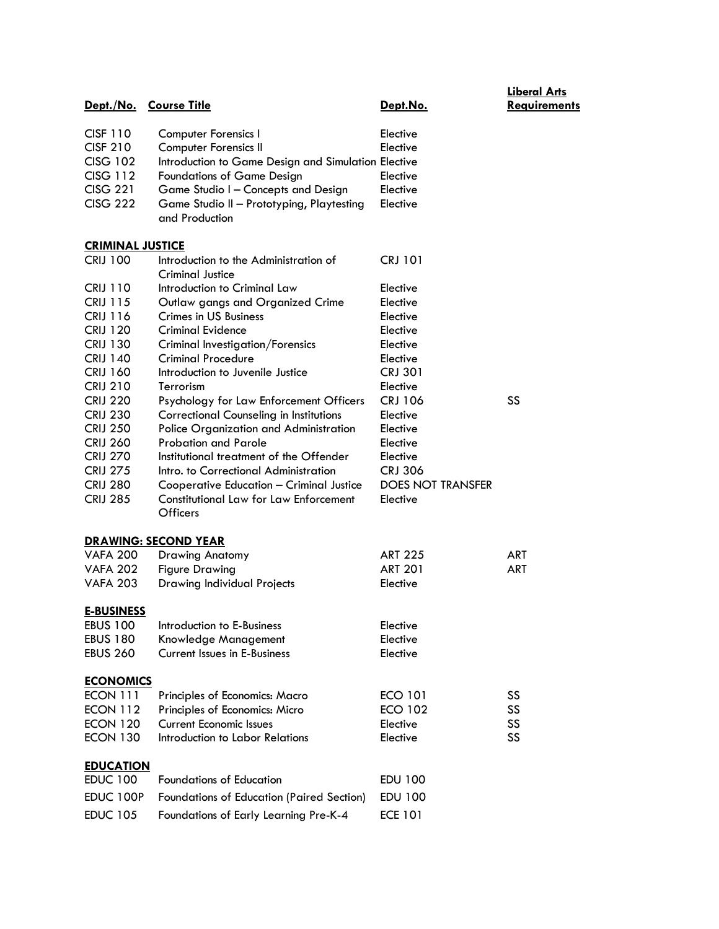| Dept./No. Course Title  |                                                                  | <u>Dept.No.</u>          | <b>Liberal Arts</b><br><b>Requirements</b> |
|-------------------------|------------------------------------------------------------------|--------------------------|--------------------------------------------|
| <b>CISF 110</b>         | Computer Forensics I                                             | Elective                 |                                            |
| <b>CISF 210</b>         | <b>Computer Forensics II</b>                                     | Elective                 |                                            |
| <b>CISG 102</b>         | Introduction to Game Design and Simulation Elective              |                          |                                            |
| <b>CISG 112</b>         | <b>Foundations of Game Design</b>                                | Elective                 |                                            |
| <b>CISG 221</b>         | Game Studio I - Concepts and Design                              | Elective                 |                                            |
| <b>CISG 222</b>         | Game Studio II - Prototyping, Playtesting<br>and Production      | Elective                 |                                            |
| <b>CRIMINAL JUSTICE</b> |                                                                  |                          |                                            |
| <b>CRIJ 100</b>         | Introduction to the Administration of<br>Criminal Justice        | <b>CRJ 101</b>           |                                            |
| <b>CRIJ 110</b>         | Introduction to Criminal Law                                     | Elective                 |                                            |
| <b>CRIJ 115</b>         | Outlaw gangs and Organized Crime                                 | Elective                 |                                            |
| <b>CRIJ 116</b>         | <b>Crimes in US Business</b>                                     | Elective                 |                                            |
| <b>CRIJ 120</b>         | <b>Criminal Evidence</b>                                         | Elective                 |                                            |
| <b>CRIJ 130</b>         | Criminal Investigation/Forensics                                 | Elective                 |                                            |
| <b>CRIJ 140</b>         | <b>Criminal Procedure</b>                                        | Elective                 |                                            |
| <b>CRIJ 160</b>         | Introduction to Juvenile Justice                                 | <b>CRJ 301</b>           |                                            |
| <b>CRIJ 210</b>         | Terrorism                                                        | Elective                 |                                            |
| <b>CRIJ 220</b>         | Psychology for Law Enforcement Officers                          | <b>CRJ 106</b>           | SS                                         |
| <b>CRIJ 230</b>         | Correctional Counseling in Institutions                          | Elective                 |                                            |
| <b>CRIJ 250</b>         | Police Organization and Administration                           | Elective                 |                                            |
| <b>CRIJ 260</b>         | Probation and Parole                                             | Elective                 |                                            |
| <b>CRIJ 270</b>         | Institutional treatment of the Offender                          | Elective                 |                                            |
| <b>CRIJ 275</b>         | Intro, to Correctional Administration                            | <b>CRJ 306</b>           |                                            |
| <b>CRIJ 280</b>         | Cooperative Education - Criminal Justice                         | <b>DOES NOT TRANSFER</b> |                                            |
| <b>CRIJ 285</b>         | <b>Constitutional Law for Law Enforcement</b><br><b>Officers</b> | Elective                 |                                            |
|                         | <u>DRAWING: SECOND YEAR</u>                                      |                          |                                            |
| <b>VAFA 200</b>         | <b>Drawing Anatomy</b>                                           | <b>ART 225</b>           | <b>ART</b>                                 |
| <b>VAFA 202</b>         | <b>Figure Drawing</b>                                            | <b>ART 201</b>           | <b>ART</b>                                 |
| <b>VAFA 203</b>         | <b>Drawing Individual Projects</b>                               | Elective                 |                                            |
| <b>E-BUSINESS</b>       |                                                                  |                          |                                            |
| <b>EBUS 100</b>         | Introduction to E-Business                                       | Elective                 |                                            |
| <b>EBUS 180</b>         | Knowledge Management                                             | Elective                 |                                            |
| <b>EBUS 260</b>         | <b>Current Issues in E-Business</b>                              | Elective                 |                                            |
| <b>ECONOMICS</b>        |                                                                  |                          |                                            |
| <b>ECON 111</b>         | Principles of Economics: Macro                                   | ECO 101                  | SS                                         |
| <b>ECON 112</b>         | Principles of Economics: Micro                                   | <b>ECO 102</b>           | SS                                         |
| <b>ECON 120</b>         | <b>Current Economic Issues</b>                                   | Elective                 | SS                                         |
| <b>ECON 130</b>         | Introduction to Labor Relations                                  | Elective                 | SS                                         |
| <b>EDUCATION</b>        |                                                                  |                          |                                            |
| <b>EDUC 100</b>         | <b>Foundations of Education</b>                                  | <b>EDU 100</b>           |                                            |
| EDUC 100P               | <b>Foundations of Education (Paired Section)</b>                 | <b>EDU 100</b>           |                                            |
| <b>EDUC 105</b>         | Foundations of Early Learning Pre-K-4                            | <b>ECE 101</b>           |                                            |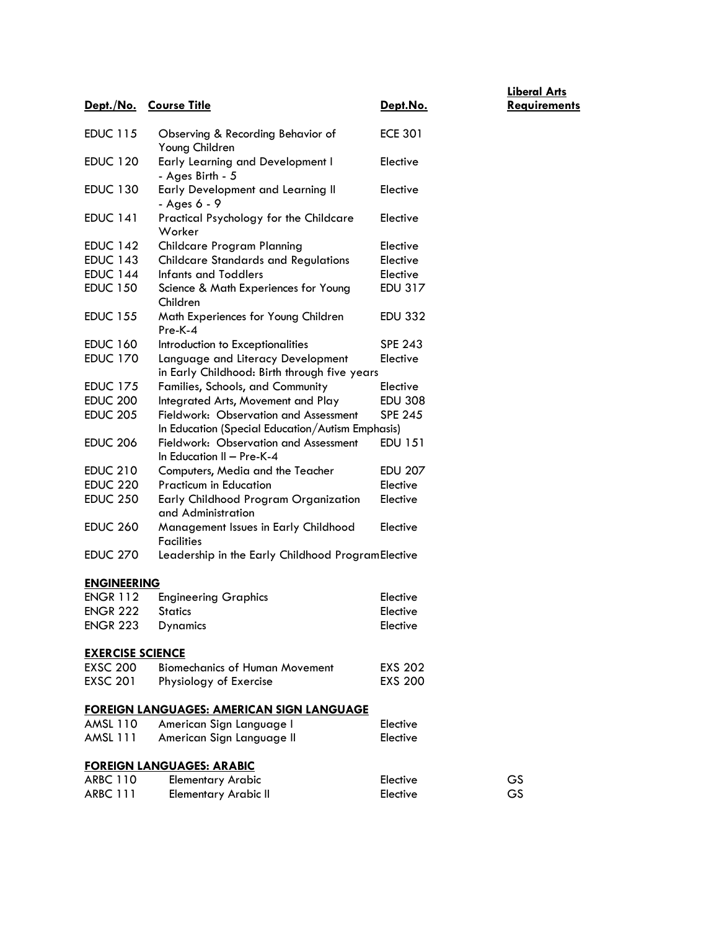|                         | Dept./No. Course Title                                                            | Dept.No.       | <u>Liberal Aris</u><br><b>Requirements</b> |
|-------------------------|-----------------------------------------------------------------------------------|----------------|--------------------------------------------|
| <b>EDUC 115</b>         | Observing & Recording Behavior of<br>Young Children                               | <b>ECE 301</b> |                                            |
| <b>EDUC 120</b>         | Early Learning and Development I<br>- Ages Birth - 5                              | Elective       |                                            |
| <b>EDUC 130</b>         | Early Development and Learning II<br>- Ages 6 - 9                                 | Elective       |                                            |
| <b>EDUC 141</b>         | Practical Psychology for the Childcare<br>Worker                                  | Elective       |                                            |
| <b>EDUC 142</b>         | <b>Childcare Program Planning</b>                                                 | Elective       |                                            |
| <b>EDUC 143</b>         | <b>Childcare Standards and Regulations</b>                                        | Elective       |                                            |
| <b>EDUC 144</b>         | Infants and Toddlers                                                              | Elective       |                                            |
| <b>EDUC 150</b>         | Science & Math Experiences for Young<br>Children                                  | <b>EDU 317</b> |                                            |
| <b>EDUC 155</b>         | Math Experiences for Young Children<br>Pre-K-4                                    | <b>EDU 332</b> |                                            |
| <b>EDUC 160</b>         | Introduction to Exceptionalities                                                  | <b>SPE 243</b> |                                            |
| <b>EDUC 170</b>         | Language and Literacy Development<br>in Early Childhood: Birth through five years | Elective       |                                            |
| <b>EDUC 175</b>         | Families, Schools, and Community                                                  | Elective       |                                            |
| <b>EDUC 200</b>         | Integrated Arts, Movement and Play                                                | <b>EDU 308</b> |                                            |
| <b>EDUC 205</b>         | Fieldwork: Observation and Assessment                                             | <b>SPE 245</b> |                                            |
|                         | In Education (Special Education/Autism Emphasis)                                  |                |                                            |
| <b>EDUC 206</b>         | Fieldwork: Observation and Assessment<br>In Education II - Pre-K-4                | EDU 151        |                                            |
| <b>EDUC 210</b>         | Computers, Media and the Teacher                                                  | <b>EDU 207</b> |                                            |
| <b>EDUC 220</b>         | <b>Practicum in Education</b>                                                     | Elective       |                                            |
| <b>EDUC 250</b>         | Early Childhood Program Organization<br>and Administration                        | Elective       |                                            |
| <b>EDUC 260</b>         | Management Issues in Early Childhood<br><b>Facilities</b>                         | Elective       |                                            |
| <b>EDUC 270</b>         | Leadership in the Early Childhood ProgramElective                                 |                |                                            |
| <b>ENGINEERING</b>      |                                                                                   |                |                                            |
| <b>ENGR 112</b>         | <b>Engineering Graphics</b>                                                       | Elective       |                                            |
| <b>ENGR 222</b>         | <b>Statics</b>                                                                    | Elective       |                                            |
| <b>ENGR 223</b>         | Dynamics                                                                          | Elective       |                                            |
| <b>EXERCISE SCIENCE</b> |                                                                                   |                |                                            |
| <b>EXSC 200</b>         | <b>Biomechanics of Human Movement</b>                                             | <b>EXS 202</b> |                                            |
| <b>EXSC 201</b>         | Physiology of Exercise                                                            | <b>EXS 200</b> |                                            |
|                         | <b>FOREIGN LANGUAGES: AMERICAN SIGN LANGUAGE</b>                                  |                |                                            |
| <b>AMSL 110</b>         | American Sign Language I                                                          | Elective       |                                            |
| <b>AMSL 111</b>         | American Sign Language II                                                         | Elective       |                                            |
|                         | <b>FOREIGN LANGUAGES: ARABIC</b>                                                  |                |                                            |
| <b>ARBC 110</b>         | <b>Elementary Arabic</b>                                                          | Elective       | GS                                         |
| <b>ARBC 111</b>         | <b>Elementary Arabic II</b>                                                       | Elective       | <b>GS</b>                                  |

| <b>Liberal Arts</b> |  |  |
|---------------------|--|--|
| <b>Requirements</b> |  |  |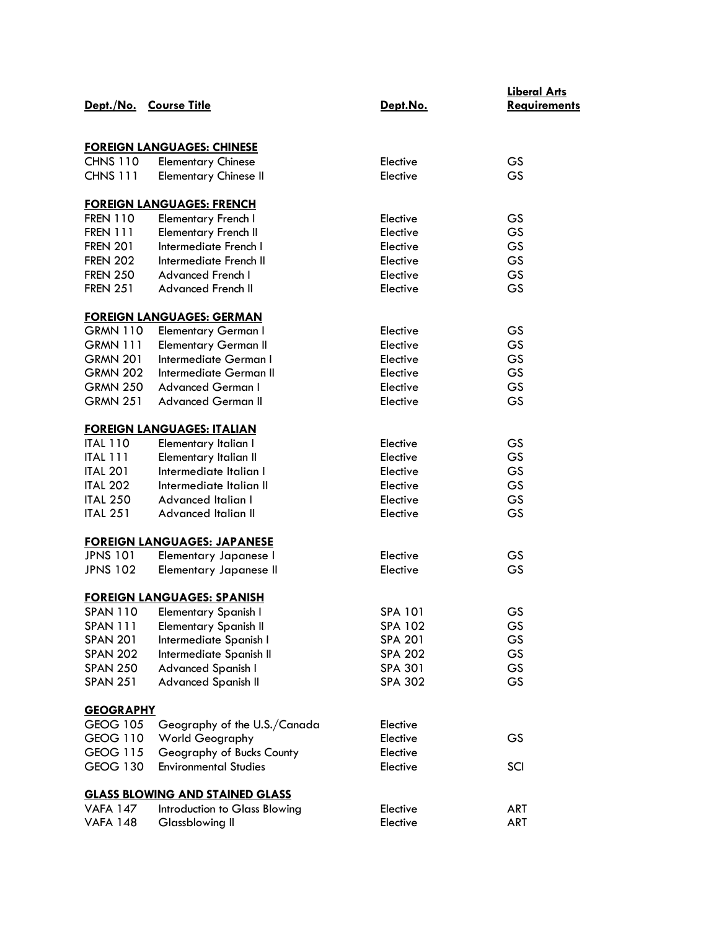|                  | Dept./No. Course Title                 | Dept.No.       | <b>Liberal Arts</b><br><b>Requirements</b> |
|------------------|----------------------------------------|----------------|--------------------------------------------|
|                  |                                        |                |                                            |
|                  | <b>FOREIGN LANGUAGES: CHINESE</b>      |                |                                            |
| <b>CHNS 110</b>  | <b>Elementary Chinese</b>              | Elective       | GS                                         |
| <b>CHNS 111</b>  | <b>Elementary Chinese II</b>           | Elective       | <b>GS</b>                                  |
|                  | <b>FOREIGN LANGUAGES: FRENCH</b>       |                |                                            |
| <b>FREN 110</b>  | Elementary French I                    | Elective       | GS                                         |
| <b>FREN 111</b>  | <b>Elementary French II</b>            | Elective       | GS                                         |
| <b>FREN 201</b>  | Intermediate French I                  | Elective       | GS                                         |
| <b>FREN 202</b>  | Intermediate French II                 | Elective       | GS                                         |
| <b>FREN 250</b>  | <b>Advanced French I</b>               | Elective       | GS                                         |
| <b>FREN 251</b>  | <b>Advanced French II</b>              | Elective       | GS                                         |
|                  | <b>FOREIGN LANGUAGES: GERMAN</b>       |                |                                            |
| <b>GRMN 110</b>  | <b>Elementary German I</b>             | Elective       | GS                                         |
| <b>GRMN 111</b>  | <b>Elementary German II</b>            | Elective       | GS                                         |
| <b>GRMN 201</b>  | Intermediate German I                  | Elective       | GS                                         |
| <b>GRMN 202</b>  | Intermediate German II                 | Elective       | GS                                         |
| <b>GRMN 250</b>  | <b>Advanced German I</b>               | Elective       | GS                                         |
| <b>GRMN 251</b>  | <b>Advanced German II</b>              | Elective       | GS                                         |
|                  | <b>FOREIGN LANGUAGES: ITALIAN</b>      |                |                                            |
| <b>ITAL 110</b>  | Elementary Italian I                   | Elective       | GS                                         |
| <b>ITAL 111</b>  | Elementary Italian II                  | Elective       | GS                                         |
| <b>ITAL 201</b>  | Intermediate Italian I                 | Elective       | GS                                         |
| <b>ITAL 202</b>  | Intermediate Italian II                | Elective       | GS                                         |
| <b>ITAL 250</b>  | Advanced Italian I                     | Elective       | GS                                         |
| <b>ITAL 251</b>  | Advanced Italian II                    | Elective       | GS                                         |
|                  | <b>FOREIGN LANGUAGES: JAPANESE</b>     |                |                                            |
| <b>JPNS 101</b>  | <b>Elementary Japanese I</b>           | Elective       | GS                                         |
| <b>JPNS 102</b>  | <b>Elementary Japanese II</b>          | Elective       | GS                                         |
|                  | <b>FOREIGN LANGUAGES: SPANISH</b>      |                |                                            |
| <b>SPAN 110</b>  | <b>Elementary Spanish I</b>            | <b>SPA 101</b> | GS                                         |
| <b>SPAN 111</b>  | <b>Elementary Spanish II</b>           | <b>SPA 102</b> | GS                                         |
| <b>SPAN 201</b>  | Intermediate Spanish I                 | <b>SPA 201</b> | <b>GS</b>                                  |
| <b>SPAN 202</b>  | Intermediate Spanish II                | <b>SPA 202</b> | <b>GS</b>                                  |
| <b>SPAN 250</b>  | <b>Advanced Spanish I</b>              | <b>SPA 301</b> | <b>GS</b>                                  |
| <b>SPAN 251</b>  | <b>Advanced Spanish II</b>             | <b>SPA 302</b> | <b>GS</b>                                  |
| <b>GEOGRAPHY</b> |                                        |                |                                            |
| GEOG 105         | Geography of the U.S./Canada           | Elective       |                                            |
| <b>GEOG 110</b>  | <b>World Geography</b>                 | Elective       | GS                                         |
| <b>GEOG 115</b>  | Geography of Bucks County              | Elective       |                                            |
| <b>GEOG 130</b>  | <b>Environmental Studies</b>           | Elective       | SCI                                        |
|                  |                                        |                |                                            |
|                  | <b>GLASS BLOWING AND STAINED GLASS</b> |                |                                            |
| VAFA 147         | Introduction to Glass Blowing          | Elective       | ART                                        |
| <b>VAFA 148</b>  | <b>Glassblowing II</b>                 | Elective       | ART                                        |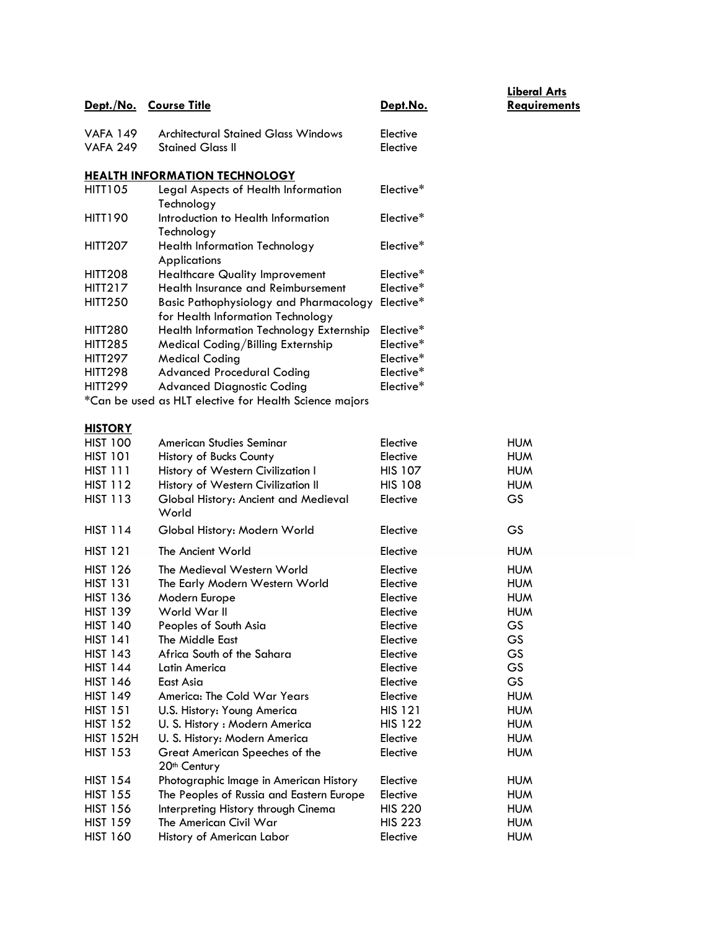|                             | Dept./No. Course Title                                                             | Dept.No.             | <b>Liberal Arts</b><br><b>Requirements</b> |
|-----------------------------|------------------------------------------------------------------------------------|----------------------|--------------------------------------------|
| VAFA 149<br><b>VAFA 249</b> | <b>Architectural Stained Glass Windows</b><br><b>Stained Glass II</b>              | Elective<br>Elective |                                            |
|                             | <b>HEALTH INFORMATION TECHNOLOGY</b>                                               |                      |                                            |
| <b>HITT105</b>              | Legal Aspects of Health Information                                                | Elective*            |                                            |
|                             | Technology                                                                         |                      |                                            |
| <b>HITT190</b>              | Introduction to Health Information<br>Technology                                   | Elective*            |                                            |
| <b>HITT207</b>              | <b>Health Information Technology</b><br><b>Applications</b>                        | Elective*            |                                            |
| <b>HITT208</b>              | <b>Healthcare Quality Improvement</b>                                              | Elective*            |                                            |
| HITT217                     | <b>Health Insurance and Reimbursement</b>                                          | Elective*            |                                            |
| <b>HITT250</b>              | <b>Basic Pathophysiology and Pharmacology</b><br>for Health Information Technology | Elective*            |                                            |
| <b>HITT280</b>              | Health Information Technology Externship                                           | Elective*            |                                            |
| <b>HITT285</b>              | Medical Coding/Billing Externship                                                  | Elective*            |                                            |
| <b>HITT297</b>              | <b>Medical Coding</b>                                                              | Elective*            |                                            |
| <b>HITT298</b>              | <b>Advanced Procedural Coding</b>                                                  | Elective*            |                                            |
| <b>HITT299</b>              | <b>Advanced Diagnostic Coding</b>                                                  | Elective*            |                                            |
|                             | *Can be used as HLT elective for Health Science majors                             |                      |                                            |
| <b>HISTORY</b>              |                                                                                    |                      |                                            |
| <b>HIST 100</b>             | American Studies Seminar                                                           | Elective             | <b>HUM</b>                                 |
| <b>HIST 101</b>             | History of Bucks County                                                            | Elective             | <b>HUM</b>                                 |
| <b>HIST 111</b>             | History of Western Civilization I                                                  | <b>HIS 107</b>       | <b>HUM</b>                                 |
| <b>HIST 112</b>             | History of Western Civilization II                                                 | <b>HIS 108</b>       | <b>HUM</b>                                 |
| <b>HIST 113</b>             | Global History: Ancient and Medieval<br>World                                      | Elective             | <b>GS</b>                                  |
| <b>HIST 114</b>             | Global History: Modern World                                                       | Elective             | GS.                                        |
| <b>HIST 121</b>             | The Ancient World                                                                  | Elective             | <b>HUM</b>                                 |
| <b>HIST 126</b>             | The Medieval Western World                                                         | Elective             | <b>HUM</b>                                 |
| <b>HIST 131</b>             | The Early Modern Western World                                                     | Elective             | <b>HUM</b>                                 |
| <b>HIST 136</b>             | Modern Europe                                                                      | Elective             | <b>HUM</b>                                 |
| <b>HIST 139</b>             | World War II                                                                       | Elective             | <b>HUM</b>                                 |
| <b>HIST 140</b>             | Peoples of South Asia                                                              | Elective             | GS                                         |
| <b>HIST 141</b>             | The Middle East                                                                    | Elective             | GS                                         |
| <b>HIST 143</b>             | Africa South of the Sahara                                                         | Elective             | GS                                         |
| <b>HIST 144</b>             | Latin America                                                                      | Elective             | GS                                         |
| <b>HIST 146</b>             | East Asia                                                                          | Elective             | <b>GS</b>                                  |
| <b>HIST 149</b>             | America: The Cold War Years                                                        | Elective             | <b>HUM</b>                                 |
| <b>HIST 151</b>             | U.S. History: Young America                                                        | <b>HIS 121</b>       | <b>HUM</b>                                 |
| <b>HIST 152</b>             | U. S. History : Modern America                                                     | <b>HIS 122</b>       | <b>HUM</b>                                 |
| <b>HIST 152H</b>            | U. S. History: Modern America                                                      | Elective             | <b>HUM</b>                                 |
| <b>HIST 153</b>             | Great American Speeches of the<br>20 <sup>th</sup> Century                         | Elective             | <b>HUM</b>                                 |
| <b>HIST 154</b>             | Photographic Image in American History                                             | Elective             | <b>HUM</b>                                 |
| <b>HIST 155</b>             | The Peoples of Russia and Eastern Europe                                           | Elective             | <b>HUM</b>                                 |
| <b>HIST 156</b>             | Interpreting History through Cinema                                                | <b>HIS 220</b>       | <b>HUM</b>                                 |
| <b>HIST 159</b>             | The American Civil War                                                             | <b>HIS 223</b>       | <b>HUM</b>                                 |
| <b>HIST 160</b>             | History of American Labor                                                          | Elective             | <b>HUM</b>                                 |
|                             |                                                                                    |                      |                                            |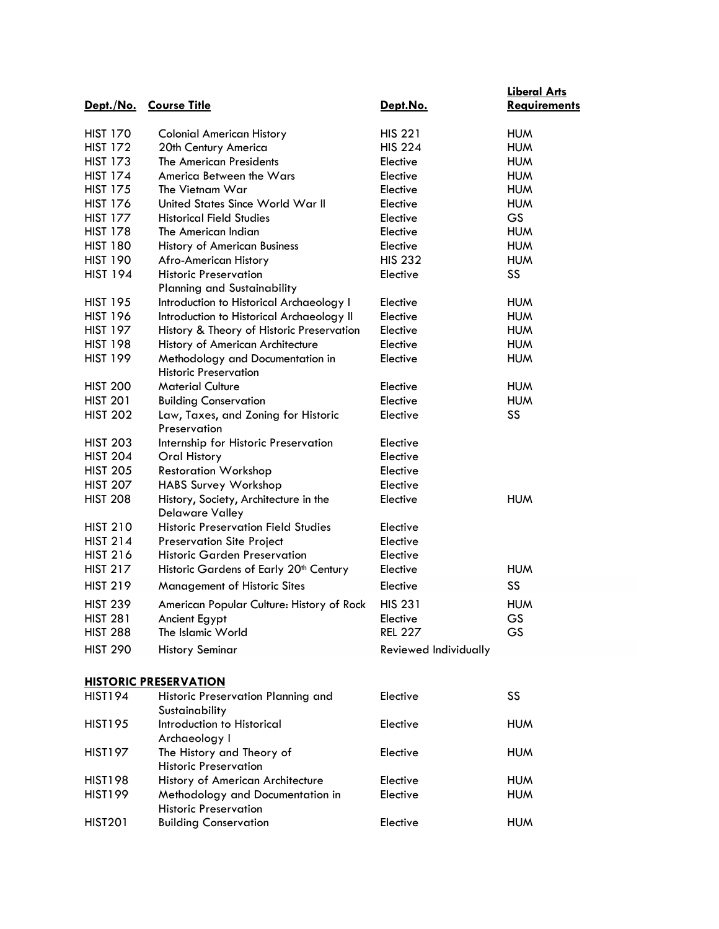|                 |                                                           |                       | <b>Liberal Arts</b> |
|-----------------|-----------------------------------------------------------|-----------------------|---------------------|
|                 | Dept./No. Course Title                                    | Dept.No.              | <b>Requirements</b> |
| <b>HIST 170</b> | <b>Colonial American History</b>                          | <b>HIS 221</b>        | <b>HUM</b>          |
| <b>HIST 172</b> | 20th Century America                                      | <b>HIS 224</b>        | <b>HUM</b>          |
| <b>HIST 173</b> | The American Presidents                                   | Elective              | <b>HUM</b>          |
| <b>HIST 174</b> | America Between the Wars                                  | Elective              | <b>HUM</b>          |
| <b>HIST 175</b> | The Vietnam War                                           | Elective              | <b>HUM</b>          |
| <b>HIST 176</b> | United States Since World War II                          | Elective              | <b>HUM</b>          |
| <b>HIST 177</b> | Historical Field Studies                                  | Elective              | GS                  |
| <b>HIST 178</b> | The American Indian                                       | Elective              | <b>HUM</b>          |
| <b>HIST 180</b> | <b>History of American Business</b>                       | Elective              | <b>HUM</b>          |
| <b>HIST 190</b> | Afro-American History                                     | <b>HIS 232</b>        | <b>HUM</b>          |
| <b>HIST 194</b> | <b>Historic Preservation</b>                              | Elective              | SS                  |
|                 | <b>Planning and Sustainability</b>                        |                       |                     |
| <b>HIST 195</b> | Introduction to Historical Archaeology I                  | Elective              | <b>HUM</b>          |
| <b>HIST 196</b> | Introduction to Historical Archaeology II                 | Elective              | <b>HUM</b>          |
| <b>HIST 197</b> | History & Theory of Historic Preservation                 | Elective              | <b>HUM</b>          |
| <b>HIST 198</b> | History of American Architecture                          | Elective              | <b>HUM</b>          |
| <b>HIST 199</b> | Methodology and Documentation in                          | Elective              | <b>HUM</b>          |
|                 | <b>Historic Preservation</b>                              |                       |                     |
| <b>HIST 200</b> | <b>Material Culture</b>                                   | Elective              | <b>HUM</b>          |
| <b>HIST 201</b> | <b>Building Conservation</b>                              | Elective              | <b>HUM</b>          |
| <b>HIST 202</b> | Law, Taxes, and Zoning for Historic                       | Elective              | SS                  |
|                 | Preservation                                              |                       |                     |
| <b>HIST 203</b> | Internship for Historic Preservation                      | Elective              |                     |
| <b>HIST 204</b> | Oral History                                              | Elective              |                     |
| <b>HIST 205</b> | <b>Restoration Workshop</b>                               | Elective              |                     |
| <b>HIST 207</b> | HABS Survey Workshop                                      | Elective              |                     |
| <b>HIST 208</b> | History, Society, Architecture in the<br>Delaware Valley  | Elective              | <b>HUM</b>          |
| <b>HIST 210</b> | <b>Historic Preservation Field Studies</b>                | Elective              |                     |
| <b>HIST 214</b> | <b>Preservation Site Project</b>                          | Elective              |                     |
| <b>HIST 216</b> | <b>Historic Garden Preservation</b>                       | Elective              |                     |
| <b>HIST 217</b> | Historic Gardens of Early 20th Century                    | Elective              | <b>HUM</b>          |
| <b>HIST 219</b> |                                                           |                       | SS                  |
|                 | <b>Management of Historic Sites</b>                       | Elective              |                     |
| <b>HIST 239</b> | American Popular Culture: History of Rock                 | <b>HIS 231</b>        | <b>HUM</b>          |
| <b>HIST 281</b> | Ancient Egypt                                             | Elective              | GS                  |
| <b>HIST 288</b> | The Islamic World                                         | <b>REL 227</b>        | GS                  |
| <b>HIST 290</b> | <b>History Seminar</b>                                    | Reviewed Individually |                     |
|                 | <b>HISTORIC PRESERVATION</b>                              |                       |                     |
| <b>HIST194</b>  | Historic Preservation Planning and                        | Elective              | SS                  |
|                 | Sustainability                                            |                       |                     |
| <b>HIST195</b>  | Introduction to Historical<br>Archaeology I               | Elective              | <b>HUM</b>          |
| <b>HIST197</b>  | The History and Theory of<br><b>Historic Preservation</b> | Elective              | <b>HUM</b>          |
| <b>HIST198</b>  | History of American Architecture                          | Elective              | <b>HUM</b>          |
| <b>HIST199</b>  | Methodology and Documentation in                          | Elective              | <b>HUM</b>          |
|                 | <b>Historic Preservation</b>                              |                       |                     |
| <b>HIST201</b>  | <b>Building Conservation</b>                              | Elective              | <b>HUM</b>          |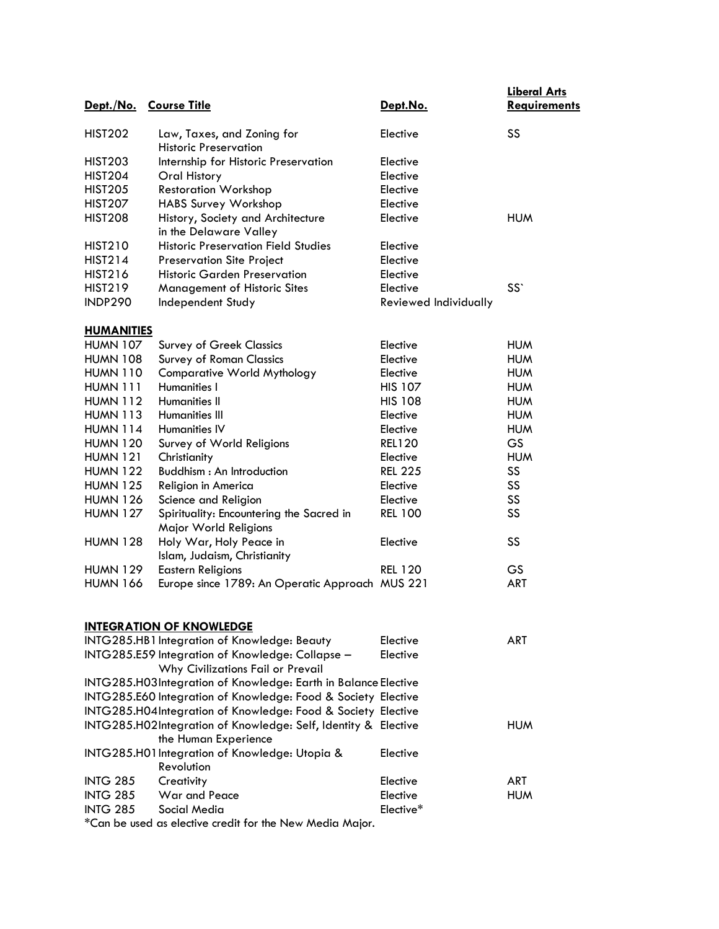|                   | Dept./No. Course Title                                                                 | Dept.No.              | <b>Liberal Arts</b><br><b>Requirements</b> |
|-------------------|----------------------------------------------------------------------------------------|-----------------------|--------------------------------------------|
| <b>HIST202</b>    | Law, Taxes, and Zoning for<br><b>Historic Preservation</b>                             | Elective              | SS                                         |
| <b>HIST203</b>    | Internship for Historic Preservation                                                   | Elective              |                                            |
| <b>HIST204</b>    | <b>Oral History</b>                                                                    | Elective              |                                            |
| <b>HIST205</b>    | <b>Restoration Workshop</b>                                                            | Elective              |                                            |
| <b>HIST207</b>    | HABS Survey Workshop                                                                   | Elective              |                                            |
| <b>HIST208</b>    | History, Society and Architecture<br>in the Delaware Valley                            | Elective              | <b>HUM</b>                                 |
| <b>HIST210</b>    | <b>Historic Preservation Field Studies</b>                                             | Elective              |                                            |
| <b>HIST214</b>    | <b>Preservation Site Project</b>                                                       | Elective              |                                            |
| <b>HIST216</b>    | <b>Historic Garden Preservation</b>                                                    | Elective              |                                            |
| <b>HIST219</b>    | <b>Management of Historic Sites</b>                                                    | Elective              | $SS^2$                                     |
| <b>INDP290</b>    | Independent Study                                                                      | Reviewed Individually |                                            |
| <b>HUMANITIES</b> |                                                                                        |                       |                                            |
| <b>HUMN 107</b>   | <b>Survey of Greek Classics</b>                                                        | Elective              | <b>HUM</b>                                 |
| <b>HUMN 108</b>   | <b>Survey of Roman Classics</b>                                                        | Elective              | <b>HUM</b>                                 |
| <b>HUMN 110</b>   | <b>Comparative World Mythology</b>                                                     | Elective              | <b>HUM</b>                                 |
| <b>HUMN 111</b>   | Humanities I                                                                           | <b>HIS 107</b>        | <b>HUM</b>                                 |
| <b>HUMN 112</b>   | Humanities II                                                                          | <b>HIS 108</b>        | <b>HUM</b>                                 |
| <b>HUMN 113</b>   | <b>Humanities III</b>                                                                  | Elective              | <b>HUM</b>                                 |
| <b>HUMN 114</b>   | Humanities IV                                                                          | Elective              | <b>HUM</b>                                 |
| <b>HUMN 120</b>   | Survey of World Religions                                                              | <b>REL120</b>         | <b>GS</b>                                  |
| <b>HUMN 121</b>   | Christianity                                                                           | Elective              | <b>HUM</b>                                 |
| <b>HUMN 122</b>   | Buddhism : An Introduction                                                             | <b>REL 225</b>        | SS                                         |
| <b>HUMN 125</b>   | Religion in America                                                                    | Elective              | SS                                         |
| <b>HUMN 126</b>   | Science and Religion                                                                   | Elective              | SS                                         |
| <b>HUMN 127</b>   | Spirituality: Encountering the Sacred in<br>Major World Religions                      | <b>REL 100</b>        | SS                                         |
| <b>HUMN 128</b>   | Holy War, Holy Peace in<br>Islam, Judaism, Christianity                                | Elective              | SS                                         |
| <b>HUMN 129</b>   | <b>Eastern Religions</b>                                                               | <b>REL 120</b>        | <b>GS</b>                                  |
| <b>HUMN 166</b>   | Europe since 1789: An Operatic Approach MUS 221                                        |                       | <b>ART</b>                                 |
|                   | <b>INTEGRATION OF KNOWLEDGE</b>                                                        |                       |                                            |
|                   | INTG285.HB1 Integration of Knowledge: Beauty                                           | Elective              | <b>ART</b>                                 |
|                   | INTG285.E59 Integration of Knowledge: Collapse -<br>Why Civilizations Fail or Prevail  | Elective              |                                            |
|                   | INTG285.H03Integration of Knowledge: Earth in Balance Elective                         |                       |                                            |
|                   | INTG285.E60 Integration of Knowledge: Food & Society Elective                          |                       |                                            |
|                   | INTG285.H04Integration of Knowledge: Food & Society Elective                           |                       |                                            |
|                   | INTG285.H02Integration of Knowledge: Self, Identity & Elective<br>the Human Experience |                       | <b>HUM</b>                                 |
|                   | INTG285.H01 Integration of Knowledge: Utopia &<br>Revolution                           | Elective              |                                            |
| <b>INTG 285</b>   | Creativity                                                                             | Elective              | <b>ART</b>                                 |
| <b>INTG 285</b>   | War and Peace                                                                          | Elective              | <b>HUM</b>                                 |
| <b>INTG 285</b>   | Social Media                                                                           | Elective*             |                                            |
|                   | *Can be used as elective credit for the New Media Major.                               |                       |                                            |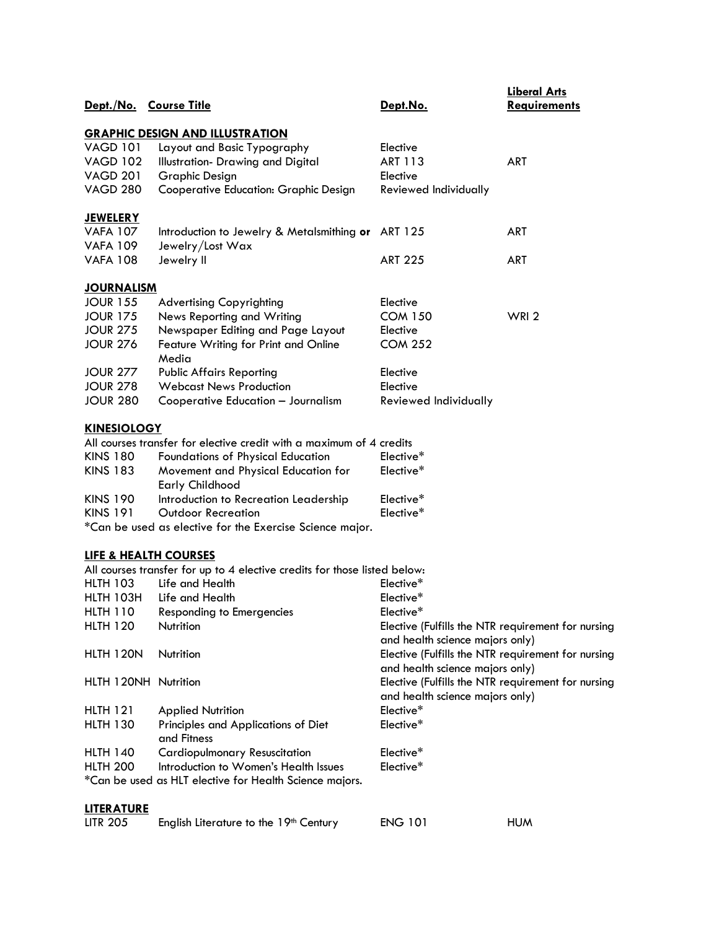|                      | <u> Dept./No. Course Title</u>                                            | Dept.No.                                                                              | <b>Liberal Arts</b><br><b>Requirements</b> |
|----------------------|---------------------------------------------------------------------------|---------------------------------------------------------------------------------------|--------------------------------------------|
|                      | <u>GRAPHIC DESIGN AND ILLUSTRATION</u>                                    |                                                                                       |                                            |
| <b>VAGD 101</b>      | Layout and Basic Typography                                               | Elective                                                                              |                                            |
| VAGD 102             | <b>Illustration- Drawing and Digital</b>                                  | <b>ART 113</b>                                                                        | <b>ART</b>                                 |
| VAGD 201             | <b>Graphic Design</b>                                                     | Elective                                                                              |                                            |
| VAGD 280             | <b>Cooperative Education: Graphic Design</b>                              | Reviewed Individually                                                                 |                                            |
| <u>JEWELERY</u>      |                                                                           |                                                                                       |                                            |
| VAFA 107             | Introduction to Jewelry & Metalsmithing or ART 125                        |                                                                                       | <b>ART</b>                                 |
| <b>VAFA 109</b>      | Jewelry/Lost Wax                                                          |                                                                                       |                                            |
| VAFA 108             | Jewelry II                                                                | <b>ART 225</b>                                                                        | <b>ART</b>                                 |
| <u> JOURNALISM</u>   |                                                                           |                                                                                       |                                            |
| <b>JOUR 155</b>      | <b>Advertising Copyrighting</b>                                           | Elective                                                                              |                                            |
| <b>JOUR 175</b>      | News Reporting and Writing                                                | <b>COM 150</b>                                                                        | WRI <sub>2</sub>                           |
| <b>JOUR 275</b>      | Newspaper Editing and Page Layout                                         | Elective                                                                              |                                            |
| <b>JOUR 276</b>      | Feature Writing for Print and Online<br>Media                             | <b>COM 252</b>                                                                        |                                            |
| <b>JOUR 277</b>      | <b>Public Affairs Reporting</b>                                           | Elective                                                                              |                                            |
| <b>JOUR 278</b>      | <b>Webcast News Production</b>                                            | Elective                                                                              |                                            |
| <b>JOUR 280</b>      | Cooperative Education - Journalism                                        | Reviewed Individually                                                                 |                                            |
| <u>KINESIOLOGY</u>   |                                                                           |                                                                                       |                                            |
|                      | All courses transfer for elective credit with a maximum of 4 credits      |                                                                                       |                                            |
| KINS 180             | Foundations of Physical Education                                         | Elective*                                                                             |                                            |
| KINS 183             | Movement and Physical Education for<br><b>Early Childhood</b>             | Elective*                                                                             |                                            |
| KINS 190             | Introduction to Recreation Leadership                                     | Elective*                                                                             |                                            |
| KINS 191             | <b>Outdoor Recreation</b>                                                 | Elective*                                                                             |                                            |
|                      | *Can be used as elective for the Exercise Science major.                  |                                                                                       |                                            |
|                      | <b>LIFE &amp; HEALTH COURSES</b>                                          |                                                                                       |                                            |
|                      | All courses transfer for up to 4 elective credits for those listed below: |                                                                                       |                                            |
| HLTH 103             | Life and Health                                                           | Elective*                                                                             |                                            |
| HLTH 103H            | Life and Health                                                           | Elective*                                                                             |                                            |
| HLTH 110             | Responding to Emergencies                                                 | Elective*                                                                             |                                            |
| <b>HLTH 120</b>      | <b>Nutrition</b>                                                          | Elective (Fulfills the NTR requirement for nursing<br>and health science majors only) |                                            |
| <b>HLTH 120N</b>     | Nutrition                                                                 | Elective (Fulfills the NTR requirement for nursing<br>and health science majors only) |                                            |
| HLTH 120NH Nutrition |                                                                           | Elective (Fulfills the NTR requirement for nursing<br>and health science majors only) |                                            |
| HLTH 121             | <b>Applied Nutrition</b>                                                  | Elective*                                                                             |                                            |
| HLTH 130             | Principles and Applications of Diet<br>and Fitness                        | Elective*                                                                             |                                            |
| HLTH 140             | <b>Cardiopulmonary Resuscitation</b>                                      | Elective*                                                                             |                                            |
| <b>HLTH 200</b>      | Introduction to Women's Health Issues                                     | Elective*                                                                             |                                            |
|                      | *Can be used as HLT elective for Health Science majors.                   |                                                                                       |                                            |
| <u>LITERATURE</u>    |                                                                           |                                                                                       |                                            |
| <b>LITR 205</b>      | English Literature to the 19 <sup>th</sup> Century                        | <b>ENG 101</b>                                                                        | <b>HUM</b>                                 |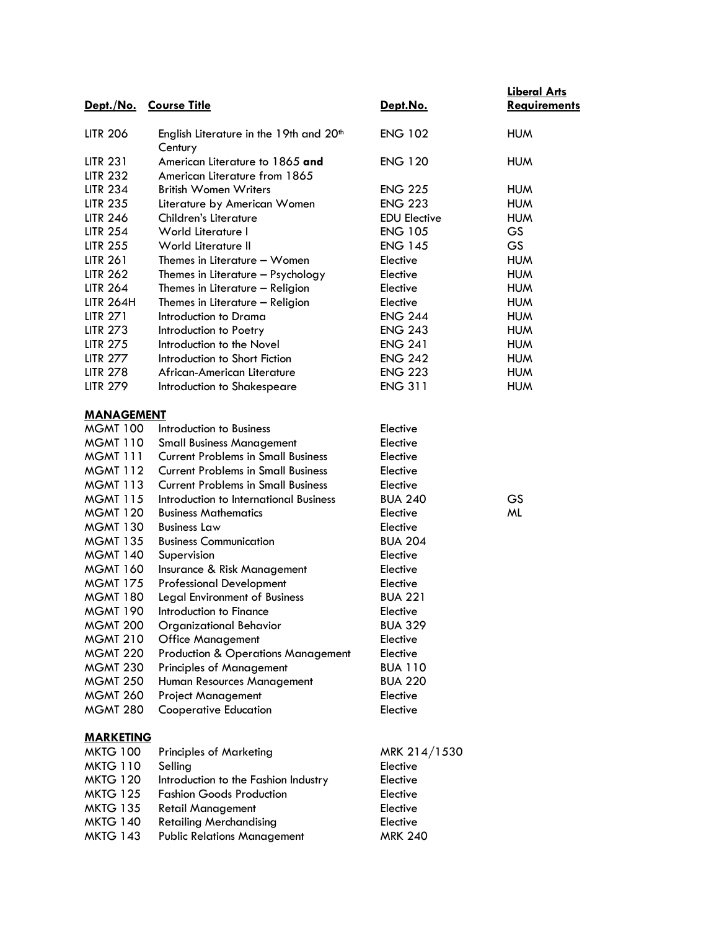|                                     | Dept./No. Course Title                                         | Dept.No.            | <b>Liberal Arts</b><br>Requirements |
|-------------------------------------|----------------------------------------------------------------|---------------------|-------------------------------------|
| <b>LITR 206</b>                     | English Literature in the 19th and 20 <sup>th</sup><br>Century | <b>ENG 102</b>      | <b>HUM</b>                          |
| <b>LITR 231</b>                     | American Literature to 1865 and                                | <b>ENG 120</b>      | <b>HUM</b>                          |
| <b>LITR 232</b>                     | American Literature from 1865                                  |                     |                                     |
| <b>LITR 234</b>                     | <b>British Women Writers</b>                                   | <b>ENG 225</b>      | <b>HUM</b>                          |
| <b>LITR 235</b>                     | Literature by American Women                                   | <b>ENG 223</b>      | <b>HUM</b>                          |
| <b>LITR 246</b>                     | Children's Literature                                          | <b>EDU Elective</b> | <b>HUM</b>                          |
| <b>LITR 254</b>                     | World Literature I                                             | <b>ENG 105</b>      | GS                                  |
| <b>LITR 255</b>                     | World Literature II                                            | <b>ENG 145</b>      | <b>GS</b>                           |
| <b>LITR 261</b>                     | Themes in Literature - Women                                   | Elective            | <b>HUM</b>                          |
| <b>LITR 262</b>                     | Themes in Literature - Psychology                              | Elective            | <b>HUM</b>                          |
| <b>LITR 264</b>                     | Themes in Literature - Religion                                | Elective            | <b>HUM</b>                          |
| <b>LITR 264H</b>                    | Themes in Literature - Religion                                | Elective            | <b>HUM</b>                          |
| <b>LITR 271</b>                     | Introduction to Drama                                          | <b>ENG 244</b>      | <b>HUM</b>                          |
| <b>LITR 273</b>                     | Introduction to Poetry                                         | <b>ENG 243</b>      | <b>HUM</b>                          |
| <b>LITR 275</b>                     | Introduction to the Novel                                      | <b>ENG 241</b>      | <b>HUM</b>                          |
| <b>LITR 277</b>                     | Introduction to Short Fiction                                  | <b>ENG 242</b>      | <b>HUM</b>                          |
| <b>LITR 278</b>                     | African-American Literature                                    | <b>ENG 223</b>      | <b>HUM</b>                          |
| <b>LITR 279</b>                     | Introduction to Shakespeare                                    | <b>ENG 311</b>      | <b>HUM</b>                          |
| <b>MANAGEMENT</b>                   |                                                                |                     |                                     |
| <b>MGMT 100</b>                     | Introduction to Business                                       | Elective            |                                     |
| <b>MGMT 110</b>                     | <b>Small Business Management</b>                               | Elective            |                                     |
| <b>MGMT 111</b>                     | <b>Current Problems in Small Business</b>                      | Elective            |                                     |
| <b>MGMT 112</b>                     | <b>Current Problems in Small Business</b>                      | Elective            |                                     |
| <b>MGMT 113</b>                     | <b>Current Problems in Small Business</b>                      | Elective            |                                     |
| <b>MGMT 115</b>                     | Introduction to International Business                         | <b>BUA 240</b>      | GS                                  |
| <b>MGMT 120</b>                     | <b>Business Mathematics</b>                                    | Elective            | ML                                  |
| <b>MGMT 130</b>                     | <b>Business Law</b>                                            | Elective            |                                     |
| <b>MGMT 135</b>                     | <b>Business Communication</b>                                  | <b>BUA 204</b>      |                                     |
| <b>MGMT 140</b>                     | Supervision                                                    | Elective            |                                     |
| <b>MGMT 160</b>                     | Insurance & Risk Management                                    | Elective            |                                     |
| <b>MGMT 175</b>                     | <b>Professional Development</b>                                | Elective            |                                     |
| <b>MGMT 180</b>                     | Legal Environment of Business                                  | <b>BUA 221</b>      |                                     |
| <b>MGMT 190</b>                     | Introduction to Finance                                        | Elective            |                                     |
| <b>MGMT 200</b>                     | <b>Organizational Behavior</b>                                 | <b>BUA 329</b>      |                                     |
| <b>MGMT 210</b>                     | <b>Office Management</b>                                       | Elective            |                                     |
| <b>MGMT 220</b>                     | <b>Production &amp; Operations Management</b>                  | Elective            |                                     |
| <b>MGMT 230</b>                     | <b>Principles of Management</b>                                | <b>BUA 110</b>      |                                     |
| <b>MGMT 250</b>                     | Human Resources Management                                     | <b>BUA 220</b>      |                                     |
| <b>MGMT 260</b>                     | <b>Project Management</b>                                      | Elective            |                                     |
| <b>MGMT 280</b>                     | <b>Cooperative Education</b>                                   | Elective            |                                     |
| <b>MARKETING</b><br><b>MKTG 100</b> | <b>Principles of Marketing</b>                                 | MRK 214/1530        |                                     |
| <b>MKTG 110</b>                     | Selling                                                        | Elective            |                                     |
| <b>MKTG 120</b>                     | Introduction to the Fashion Industry                           | Elective            |                                     |
| <b>MKTG 125</b>                     | <b>Fashion Goods Production</b>                                | Elective            |                                     |
| <b>MKTG 135</b>                     | <b>Retail Management</b>                                       | Elective            |                                     |
| <b>MKTG 140</b>                     | <b>Retailing Merchandising</b>                                 | Elective            |                                     |
| <b>MKTG 143</b>                     | <b>Public Relations Management</b>                             | <b>MRK 240</b>      |                                     |
|                                     |                                                                |                     |                                     |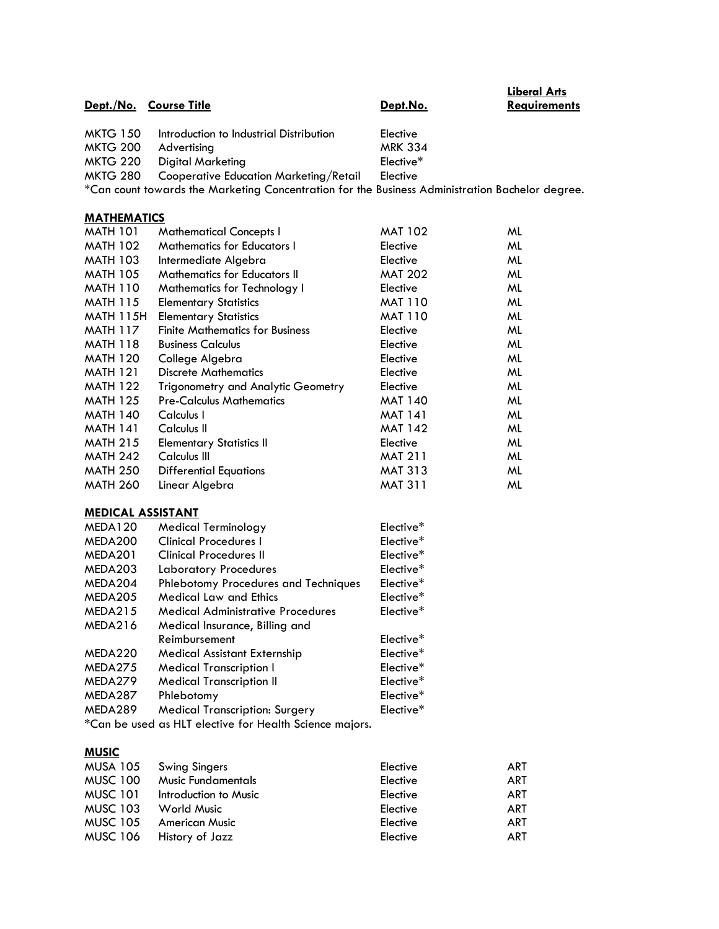|                                  | Dept./No. Course Title                  | Dept.No.       | <b>Liberal Arts</b><br><b>Requirements</b> |
|----------------------------------|-----------------------------------------|----------------|--------------------------------------------|
| <b>MKTG 150</b>                  | Introduction to Industrial Distribution | Elective       |                                            |
| <b>MKTG 200</b>                  | Advertising                             | <b>MRK 334</b> |                                            |
| <b>MKTG 220</b>                  | <b>Digital Marketing</b>                | Elective*      |                                            |
| <b>MKTG 280</b><br>$\sim$ $\sim$ | Cooperative Education Marketing/Retail  | Elective       |                                            |

\*Can count towards the Marketing Concentration for the Business Administration Bachelor degree.

## **[MATHEMATICS](http://www.bucks.edu/catalog/courses/math/mathematics/)**

| <b>MATH 101</b>  | <b>Mathematical Concepts I</b>         | <b>MAT 102</b> | ML  |
|------------------|----------------------------------------|----------------|-----|
| <b>MATH 102</b>  | <b>Mathematics for Educators I</b>     | Elective       | ML  |
| <b>MATH 103</b>  | Intermediate Algebra                   | Elective       | ML  |
| <b>MATH 105</b>  | <b>Mathematics for Educators II</b>    | <b>MAT 202</b> | ML  |
| <b>MATH 110</b>  | Mathematics for Technology I           | Elective       | ML  |
| <b>MATH 115</b>  | <b>Elementary Statistics</b>           | <b>MAT 110</b> | ML  |
| <b>MATH 115H</b> | <b>Elementary Statistics</b>           | <b>MAT 110</b> | ML  |
| <b>MATH 117</b>  | <b>Finite Mathematics for Business</b> | Elective       | ML  |
| <b>MATH 118</b>  | <b>Business Calculus</b>               | Elective       | ML  |
| <b>MATH 120</b>  | College Algebra                        | Elective       | ML  |
| <b>MATH 121</b>  | <b>Discrete Mathematics</b>            | Elective       | ML  |
| <b>MATH 122</b>  | Trigonometry and Analytic Geometry     | Elective       | ML  |
| <b>MATH 125</b>  | <b>Pre-Calculus Mathematics</b>        | MAT 140        | ML  |
| <b>MATH 140</b>  | Calculus I                             | <b>MAT 141</b> | ML  |
| <b>MATH 141</b>  | Calculus II                            | <b>MAT 142</b> | ML  |
| <b>MATH 215</b>  | <b>Elementary Statistics II</b>        | Elective       | ML  |
| <b>MATH 242</b>  | Calculus III                           | <b>MAT 211</b> | ML. |
| <b>MATH 250</b>  | <b>Differential Equations</b>          | <b>MAT 313</b> | ML. |
| <b>MATH 260</b>  | Linear Algebra                         | MAT 311        | ML  |

## **[MEDICAL ASSISTANT](http://www.bucks.edu/catalog/courses/business/med-assist/)**

| MEDA120 | <b>Medical Terminology</b>                              | Elective <sup>*</sup> |
|---------|---------------------------------------------------------|-----------------------|
| MEDA200 | <b>Clinical Procedures I</b>                            | Elective*             |
| MEDA201 | <b>Clinical Procedures II</b>                           | Elective*             |
| MEDA203 | <b>Laboratory Procedures</b>                            | Elective*             |
| MEDA204 | Phlebotomy Procedures and Techniques                    | Elective*             |
| MEDA205 | <b>Medical Law and Ethics</b>                           | Elective*             |
| MEDA215 | <b>Medical Administrative Procedures</b>                | Elective*             |
| MEDA216 | Medical Insurance, Billing and                          |                       |
|         | Reimbursement                                           | Elective*             |
| MEDA220 | Medical Assistant Externship                            | Elective*             |
| MEDA275 | <b>Medical Transcription I</b>                          | Elective <sup>*</sup> |
| MEDA279 | <b>Medical Transcription II</b>                         | Elective*             |
| MEDA287 | Phlebotomy                                              | Elective*             |
| MEDA289 | <b>Medical Transcription: Surgery</b>                   | Elective*             |
|         | *Can be used as HLT elective for Health Science majors. |                       |

# **[MUSIC](http://www.bucks.edu/catalog/courses/arts/music/)**

| <b>MUSA 105</b> | <b>Swing Singers</b>      | Elective | ART |
|-----------------|---------------------------|----------|-----|
| <b>MUSC 100</b> | <b>Music Fundamentals</b> | Elective | ART |
| <b>MUSC 101</b> | Introduction to Music     | Elective | ART |
| <b>MUSC 103</b> | World Music               | Elective | ART |
| <b>MUSC 105</b> | <b>American Music</b>     | Elective | ART |
| <b>MUSC 106</b> | History of Jazz           | Elective | ART |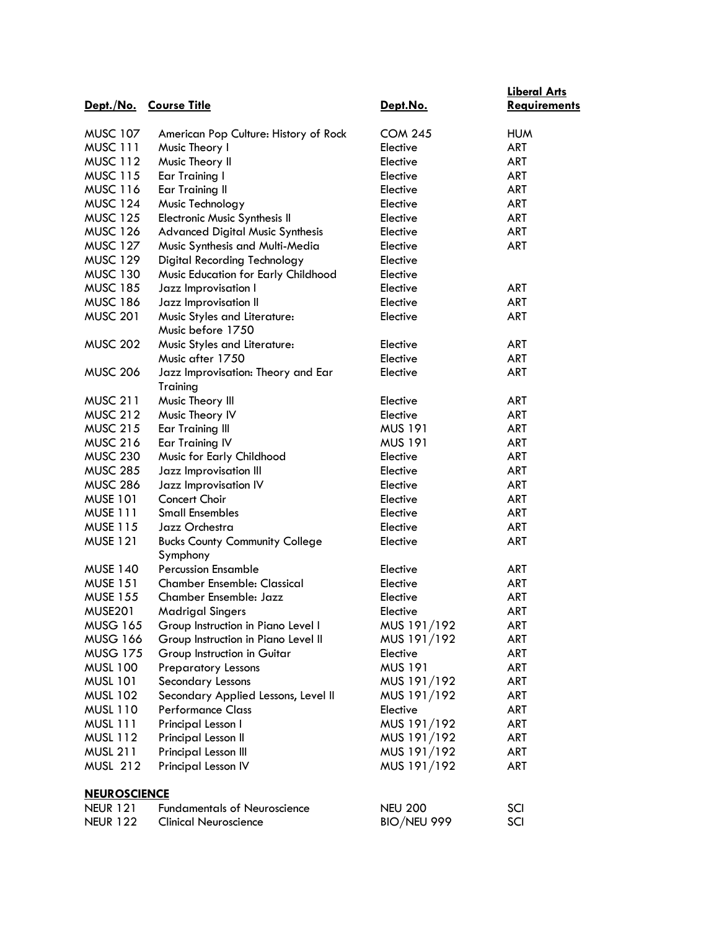|                     |                                                   |                | <b>Liberal Arts</b> |
|---------------------|---------------------------------------------------|----------------|---------------------|
|                     | Dept./No. Course Title                            | Dept.No.       | <b>Requirements</b> |
| <b>MUSC 107</b>     | American Pop Culture: History of Rock             | <b>COM 245</b> | <b>HUM</b>          |
| <b>MUSC 111</b>     | Music Theory I                                    | Elective       | ART                 |
| <b>MUSC 112</b>     | Music Theory II                                   | Elective       | ART                 |
| <b>MUSC 115</b>     | Ear Training I                                    | Elective       | ART                 |
| <b>MUSC 116</b>     | Ear Training II                                   | Elective       | ART                 |
| <b>MUSC 124</b>     | Music Technology                                  | Elective       | ART                 |
| <b>MUSC 125</b>     | Electronic Music Synthesis II                     | Elective       | ART                 |
| <b>MUSC 126</b>     | <b>Advanced Digital Music Synthesis</b>           | Elective       | ART                 |
| <b>MUSC 127</b>     | Music Synthesis and Multi-Media                   | Elective       | <b>ART</b>          |
| <b>MUSC 129</b>     | <b>Digital Recording Technology</b>               | Elective       |                     |
| <b>MUSC 130</b>     | Music Education for Early Childhood               | Elective       |                     |
| <b>MUSC 185</b>     | Jazz Improvisation I                              | Elective       | ART                 |
| <b>MUSC 186</b>     | Jazz Improvisation II                             | Elective       | ART                 |
| <b>MUSC 201</b>     | Music Styles and Literature:                      | Elective       | <b>ART</b>          |
|                     | Music before 1750                                 |                |                     |
| <b>MUSC 202</b>     | Music Styles and Literature:                      | Elective       | ART                 |
|                     | Music after 1750                                  | Elective       | ART                 |
| <b>MUSC 206</b>     | Jazz Improvisation: Theory and Ear                | Elective       | <b>ART</b>          |
|                     | Training                                          |                |                     |
| <b>MUSC 211</b>     | Music Theory III                                  | Elective       | ART                 |
| <b>MUSC 212</b>     | Music Theory IV                                   | Elective       | ART                 |
| <b>MUSC 215</b>     | <b>Ear Training III</b>                           | <b>MUS 191</b> | ART                 |
| <b>MUSC 216</b>     | <b>Ear Training IV</b>                            | <b>MUS 191</b> | ART                 |
| <b>MUSC 230</b>     | Music for Early Childhood                         | Elective       | ART                 |
| <b>MUSC 285</b>     | Jazz Improvisation III                            | Elective       | ART                 |
| <b>MUSC 286</b>     | Jazz Improvisation IV                             | Elective       | ART                 |
| <b>MUSE 101</b>     | Concert Choir                                     | Elective       | ART                 |
| <b>MUSE 111</b>     | <b>Small Ensembles</b>                            | Elective       | ART                 |
| <b>MUSE 115</b>     | Jazz Orchestra                                    | Elective       | ART                 |
| <b>MUSE 121</b>     | <b>Bucks County Community College</b><br>Symphony | Elective       | <b>ART</b>          |
| <b>MUSE 140</b>     | <b>Percussion Ensamble</b>                        | Elective       | ART                 |
| <b>MUSE 151</b>     | <b>Chamber Ensemble: Classical</b>                | Elective       | ART                 |
| <b>MUSE 155</b>     | <b>Chamber Ensemble: Jazz</b>                     | Elective       | ART                 |
| MUSE201             | <b>Madrigal Singers</b>                           | Elective       | <b>ART</b>          |
| <b>MUSG 165</b>     | Group Instruction in Piano Level I                | MUS 191/192    | ART                 |
| <b>MUSG 166</b>     | Group Instruction in Piano Level II               | MUS 191/192    | ART                 |
| <b>MUSG 175</b>     | Group Instruction in Guitar                       | Elective       | ART                 |
| <b>MUSL 100</b>     | <b>Preparatory Lessons</b>                        | <b>MUS 191</b> | ART                 |
| <b>MUSL 101</b>     | Secondary Lessons                                 | MUS 191/192    | ART                 |
| <b>MUSL 102</b>     | Secondary Applied Lessons, Level II               | MUS 191/192    | ART                 |
| <b>MUSL 110</b>     | <b>Performance Class</b>                          | Elective       | ART                 |
| <b>MUSL 111</b>     | Principal Lesson I                                | MUS 191/192    | ART                 |
| <b>MUSL 112</b>     | Principal Lesson II                               | MUS 191/192    | ART                 |
| <b>MUSL 211</b>     | Principal Lesson III                              | MUS 191/192    | ART                 |
| <b>MUSL 212</b>     | Principal Lesson IV                               | MUS 191/192    | ART                 |
|                     |                                                   |                |                     |
| <b>NEUROSCIENCE</b> |                                                   |                |                     |
| <b>NEUR 121</b>     | <b>Fundamentals of Neuroscience</b>               | <b>NEU 200</b> | SCI                 |
| <b>NEUR 122</b>     | <b>Clinical Neuroscience</b>                      | BIO/NEU 999    | SCI                 |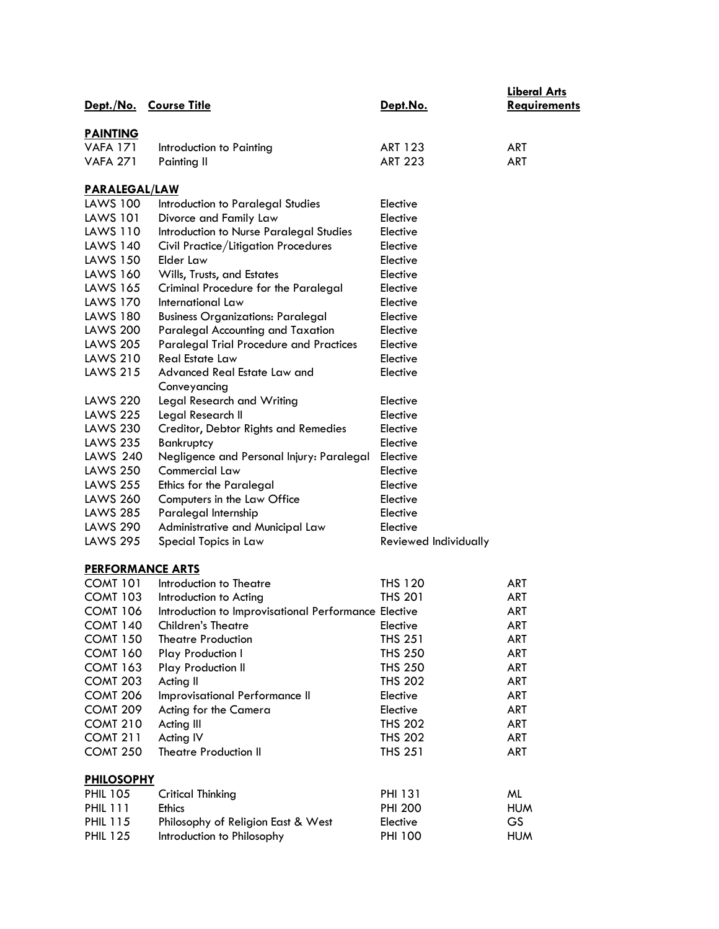|                         | Dept./No. Course Title                               | Dept.No.              | <b>Liberal Arts</b><br>Requirements |
|-------------------------|------------------------------------------------------|-----------------------|-------------------------------------|
| <b>PAINTING</b>         |                                                      |                       |                                     |
| <b>VAFA 171</b>         | Introduction to Painting                             | ART 123               | ART                                 |
| <b>VAFA 271</b>         | <b>Painting II</b>                                   | <b>ART 223</b>        | <b>ART</b>                          |
| <b>PARALEGAL/LAW</b>    |                                                      |                       |                                     |
| LAWS 100                | Introduction to Paralegal Studies                    | Elective              |                                     |
| LAWS 101                | Divorce and Family Law                               | Elective              |                                     |
| LAWS 110                | Introduction to Nurse Paralegal Studies              | Elective              |                                     |
| LAWS 140                | Civil Practice/Litigation Procedures                 | Elective              |                                     |
| LAWS 150                | Elder Law                                            | Elective              |                                     |
| LAWS 160                | Wills, Trusts, and Estates                           | Elective              |                                     |
| LAWS 165                | Criminal Procedure for the Paralegal                 | Elective              |                                     |
| <b>LAWS 170</b>         | International Law                                    | Elective              |                                     |
| <b>LAWS 180</b>         | <b>Business Organizations: Paralegal</b>             | Elective              |                                     |
| <b>LAWS 200</b>         | Paralegal Accounting and Taxation                    | Elective              |                                     |
| <b>LAWS 205</b>         | <b>Paralegal Trial Procedure and Practices</b>       | Elective              |                                     |
| <b>LAWS 210</b>         | <b>Real Estate Law</b>                               | Elective              |                                     |
| <b>LAWS 215</b>         | Advanced Real Estate Law and<br>Conveyancing         | Elective              |                                     |
| <b>LAWS 220</b>         | Legal Research and Writing                           | Elective              |                                     |
| <b>LAWS 225</b>         | Legal Research II                                    | Elective              |                                     |
| <b>LAWS 230</b>         | Creditor, Debtor Rights and Remedies                 | Elective              |                                     |
| <b>LAWS 235</b>         | Bankruptcy                                           | Elective              |                                     |
| <b>LAWS 240</b>         | Negligence and Personal Injury: Paralegal            | Elective              |                                     |
| <b>LAWS 250</b>         | Commercial Law                                       | Elective              |                                     |
| <b>LAWS 255</b>         | <b>Ethics for the Paralegal</b>                      | Elective              |                                     |
| <b>LAWS 260</b>         | Computers in the Law Office                          | Elective              |                                     |
| <b>LAWS 285</b>         | Paralegal Internship                                 | Elective              |                                     |
| <b>LAWS 290</b>         | Administrative and Municipal Law                     | Elective              |                                     |
| <b>LAWS 295</b>         | Special Topics in Law                                | Reviewed Individually |                                     |
| <b>PERFORMANCE ARTS</b> |                                                      |                       |                                     |
| <b>COMT 101</b>         | Introduction to Theatre                              | <b>THS 120</b>        | ART                                 |
| <b>COMT 103</b>         | Introduction to Acting                               | <b>THS 201</b>        | <b>ART</b>                          |
| COMT 106                | Introduction to Improvisational Performance Elective |                       | ART                                 |
| <b>COMT 140</b>         | <b>Children's Theatre</b>                            | Elective              | ART                                 |
| <b>COMT 150</b>         | <b>Theatre Production</b>                            | <b>THS 251</b>        | <b>ART</b>                          |
| <b>COMT 160</b>         | Play Production I                                    | <b>THS 250</b>        | <b>ART</b>                          |
| <b>COMT 163</b>         | Play Production II                                   | <b>THS 250</b>        | <b>ART</b>                          |
| <b>COMT 203</b>         | Acting II                                            | <b>THS 202</b>        | <b>ART</b>                          |
| COMT 206                | <b>Improvisational Performance II</b>                | Elective              | <b>ART</b>                          |
| COMT <sub>209</sub>     | Acting for the Camera                                | Elective              | <b>ART</b>                          |
| <b>COMT 210</b>         | Acting III                                           | <b>THS 202</b>        | <b>ART</b>                          |
| <b>COMT 211</b>         | Acting IV                                            | <b>THS 202</b>        | <b>ART</b>                          |
| <b>COMT 250</b>         | <b>Theatre Production II</b>                         | <b>THS 251</b>        | <b>ART</b>                          |
| <b>PHILOSOPHY</b>       |                                                      |                       |                                     |
| <b>PHIL 105</b>         | <b>Critical Thinking</b>                             | <b>PHI 131</b>        | ML                                  |
| <b>PHIL 111</b>         | <b>Ethics</b>                                        | <b>PHI 200</b>        | <b>HUM</b>                          |
| <b>PHIL 115</b>         | Philosophy of Religion East & West                   | Elective              | <b>GS</b>                           |
| <b>PHIL 125</b>         | Introduction to Philosophy                           | <b>PHI 100</b>        | <b>HUM</b>                          |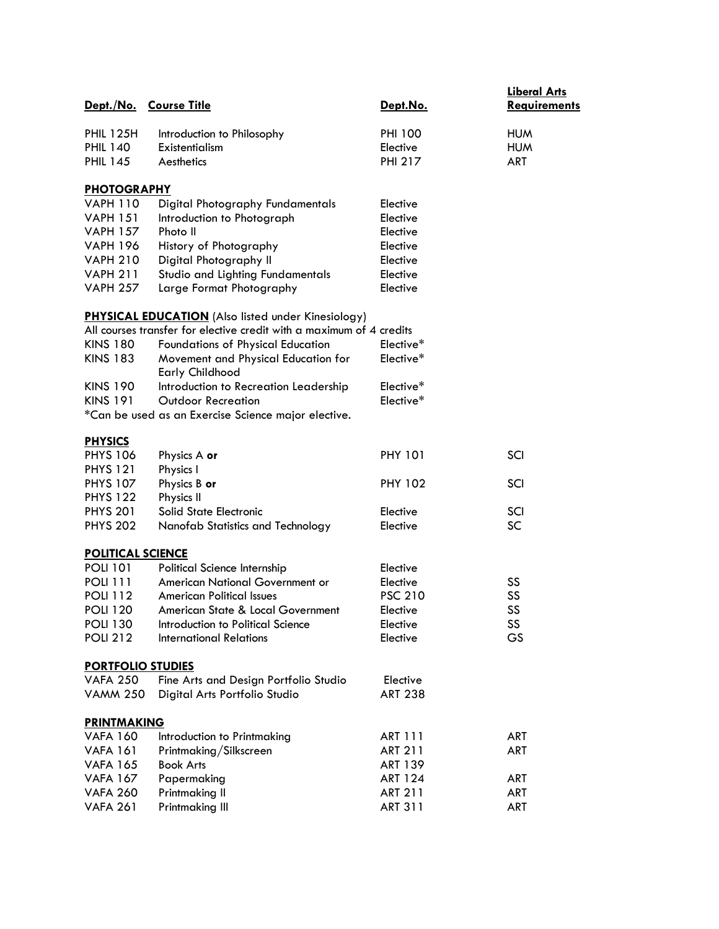|                          | Dept./No. Course Title                                               | Dept.No.       | <b>Liberal Arts</b><br><b>Requirements</b> |
|--------------------------|----------------------------------------------------------------------|----------------|--------------------------------------------|
| <b>PHIL 125H</b>         | Introduction to Philosophy                                           | <b>PHI 100</b> | <b>HUM</b>                                 |
| <b>PHIL 140</b>          | Existentialism                                                       | Elective       | <b>HUM</b>                                 |
| <b>PHIL 145</b>          | Aesthetics                                                           | <b>PHI 217</b> | <b>ART</b>                                 |
| <b>PHOTOGRAPHY</b>       |                                                                      |                |                                            |
| <b>VAPH 110</b>          | Digital Photography Fundamentals                                     | Elective       |                                            |
| <b>VAPH 151</b>          | Introduction to Photograph                                           | Elective       |                                            |
| <b>VAPH 157</b>          | Photo II                                                             | Elective       |                                            |
| <b>VAPH 196</b>          | History of Photography                                               | Elective       |                                            |
| <b>VAPH 210</b>          | Digital Photography II                                               | Elective       |                                            |
| <b>VAPH 211</b>          | Studio and Lighting Fundamentals                                     | Elective       |                                            |
| <b>VAPH 257</b>          | Large Format Photography                                             | Elective       |                                            |
|                          | <b>PHYSICAL EDUCATION</b> (Also listed under Kinesiology)            |                |                                            |
|                          | All courses transfer for elective credit with a maximum of 4 credits |                |                                            |
| <b>KINS 180</b>          | Foundations of Physical Education                                    | Elective*      |                                            |
| <b>KINS 183</b>          | Movement and Physical Education for<br><b>Early Childhood</b>        | Elective*      |                                            |
| <b>KINS 190</b>          | Introduction to Recreation Leadership                                | Elective*      |                                            |
| <b>KINS 191</b>          | <b>Outdoor Recreation</b>                                            | Elective*      |                                            |
|                          | *Can be used as an Exercise Science major elective.                  |                |                                            |
| <b>PHYSICS</b>           |                                                                      |                |                                            |
| <b>PHYS 106</b>          | Physics A or                                                         | <b>PHY 101</b> | SCI                                        |
| <b>PHYS 121</b>          | Physics I                                                            |                |                                            |
| <b>PHYS 107</b>          | Physics B or                                                         | <b>PHY 102</b> | SCI                                        |
| <b>PHYS 122</b>          | Physics II                                                           |                |                                            |
| <b>PHYS 201</b>          | Solid State Electronic                                               | Elective       | SCI                                        |
| <b>PHYS 202</b>          | Nanofab Statistics and Technology                                    | Elective       | SC                                         |
| <b>POLITICAL SCIENCE</b> |                                                                      |                |                                            |
| <b>POLI 101</b>          | Political Science Internship                                         | Elective       |                                            |
| <b>POLI111</b>           | American National Government or                                      | Elective       | SS                                         |
| <b>POLI 112</b>          | <b>American Political Issues</b>                                     | <b>PSC 210</b> | SS                                         |
| <b>POLI 120</b>          | American State & Local Government                                    | Elective       | SS                                         |
| <b>POLI 130</b>          | Introduction to Political Science                                    | Elective       | SS                                         |
| <b>POLI 212</b>          | <b>International Relations</b>                                       | Elective       | GS                                         |
| <b>PORTFOLIO STUDIES</b> |                                                                      |                |                                            |
| <b>VAFA 250</b>          | Fine Arts and Design Portfolio Studio                                | Elective       |                                            |
| <b>VAMM 250</b>          | Digital Arts Portfolio Studio                                        | <b>ART 238</b> |                                            |
| <b>PRINTMAKING</b>       |                                                                      |                |                                            |
| <b>VAFA 160</b>          | Introduction to Printmaking                                          | <b>ART 111</b> | ART                                        |
| <b>VAFA 161</b>          | Printmaking/Silkscreen                                               | <b>ART 211</b> | ART                                        |
| <b>VAFA 165</b>          | <b>Book Arts</b>                                                     | <b>ART 139</b> |                                            |
| <b>VAFA 167</b>          | Papermaking                                                          | <b>ART 124</b> | ART                                        |
| <b>VAFA 260</b>          | Printmaking II                                                       | <b>ART 211</b> | ART                                        |
| <b>VAFA 261</b>          | Printmaking III                                                      | <b>ART 311</b> | ART                                        |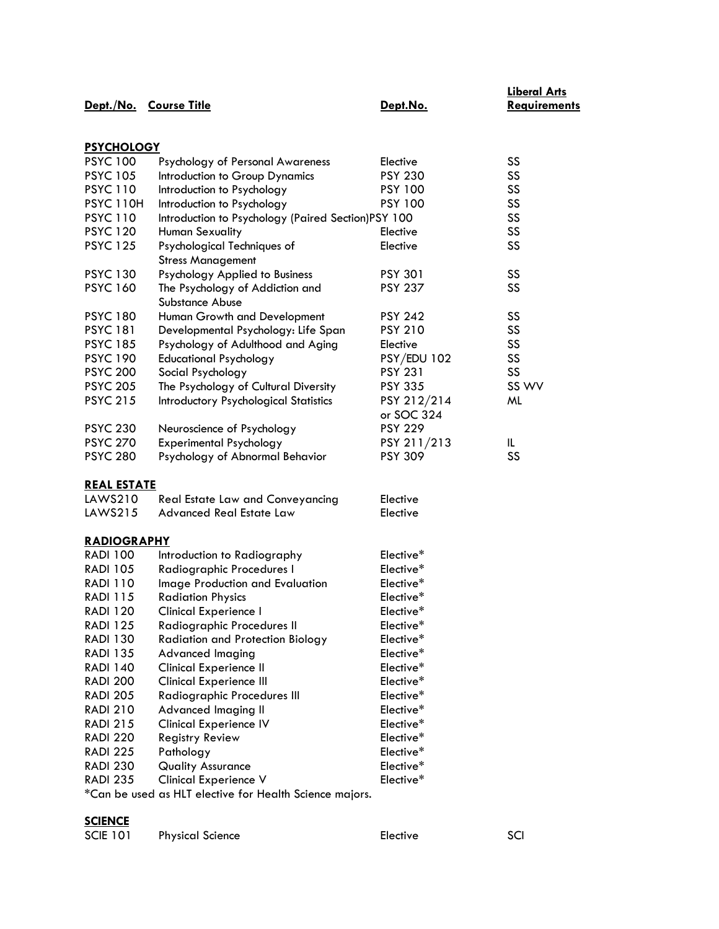|                    | Dept./No. Course Title                                  | <u>Dept.No.</u> | <b>Liberal Arts</b><br><b>Requirements</b> |
|--------------------|---------------------------------------------------------|-----------------|--------------------------------------------|
|                    |                                                         |                 |                                            |
| <b>PSYCHOLOGY</b>  |                                                         |                 |                                            |
| <b>PSYC 100</b>    | Psychology of Personal Awareness                        | Elective        | SS                                         |
| <b>PSYC 105</b>    | Introduction to Group Dynamics                          | <b>PSY 230</b>  | SS                                         |
| <b>PSYC 110</b>    | Introduction to Psychology                              | <b>PSY 100</b>  | SS                                         |
| <b>PSYC 110H</b>   | Introduction to Psychology                              | <b>PSY 100</b>  | SS                                         |
| <b>PSYC 110</b>    | Introduction to Psychology (Paired Section)PSY 100      |                 | SS                                         |
| <b>PSYC 120</b>    | Human Sexuality                                         | Elective        | SS                                         |
| <b>PSYC 125</b>    | Psychological Techniques of                             | Elective        | SS                                         |
|                    | <b>Stress Management</b>                                |                 |                                            |
| <b>PSYC 130</b>    | Psychology Applied to Business                          | <b>PSY 301</b>  | SS                                         |
| <b>PSYC 160</b>    | The Psychology of Addiction and<br>Substance Abuse      | <b>PSY 237</b>  | SS                                         |
| <b>PSYC 180</b>    | Human Growth and Development                            | <b>PSY 242</b>  | SS                                         |
| <b>PSYC 181</b>    | Developmental Psychology: Life Span                     | <b>PSY 210</b>  | SS                                         |
| <b>PSYC 185</b>    | Psychology of Adulthood and Aging                       | Elective        | SS                                         |
| <b>PSYC 190</b>    | <b>Educational Psychology</b>                           | PSY/EDU 102     | SS                                         |
| <b>PSYC 200</b>    | Social Psychology                                       | <b>PSY 231</b>  | SS                                         |
| <b>PSYC 205</b>    | The Psychology of Cultural Diversity                    | <b>PSY 335</b>  | SS WV                                      |
| <b>PSYC 215</b>    | Introductory Psychological Statistics                   | PSY 212/214     | ML                                         |
|                    |                                                         | or SOC 324      |                                            |
| <b>PSYC 230</b>    | Neuroscience of Psychology                              | <b>PSY 229</b>  |                                            |
| <b>PSYC 270</b>    | <b>Experimental Psychology</b>                          | PSY 211/213     | IL.                                        |
| <b>PSYC 280</b>    | Psychology of Abnormal Behavior                         | <b>PSY 309</b>  | SS                                         |
|                    |                                                         |                 |                                            |
| <b>REAL ESTATE</b> |                                                         |                 |                                            |
| LAWS210            | <b>Real Estate Law and Conveyancing</b>                 | Elective        |                                            |
| LAWS215            | <b>Advanced Real Estate Law</b>                         | Elective        |                                            |
| <b>RADIOGRAPHY</b> |                                                         |                 |                                            |
| <b>RADI 100</b>    | Introduction to Radiography                             | Elective*       |                                            |
| <b>RADI 105</b>    | Radiographic Procedures I                               | Elective*       |                                            |
| RADI 110           | Image Production and Evaluation                         | Elective*       |                                            |
| RADI 115           | <b>Radiation Physics</b>                                | Elective*       |                                            |
| <b>RADI 120</b>    | Clinical Experience I                                   | Elective*       |                                            |
| <b>RADI 125</b>    | Radiographic Procedures II                              | Elective*       |                                            |
| <b>RADI 130</b>    | <b>Radiation and Protection Biology</b>                 | Elective*       |                                            |
| <b>RADI 135</b>    | <b>Advanced Imaging</b>                                 | Elective*       |                                            |
| <b>RADI 140</b>    | Clinical Experience II                                  | Elective*       |                                            |
| <b>RADI 200</b>    | <b>Clinical Experience III</b>                          | Elective*       |                                            |
| <b>RADI 205</b>    | Radiographic Procedures III                             | Elective*       |                                            |
| <b>RADI 210</b>    | Advanced Imaging II                                     | Elective*       |                                            |
| <b>RADI 215</b>    | <b>Clinical Experience IV</b>                           | Elective*       |                                            |
| <b>RADI 220</b>    | <b>Registry Review</b>                                  | Elective*       |                                            |
| <b>RADI 225</b>    | Pathology                                               | Elective*       |                                            |
| <b>RADI 230</b>    | <b>Quality Assurance</b>                                | Elective*       |                                            |
| <b>RADI 235</b>    | <b>Clinical Experience V</b>                            | Elective*       |                                            |
|                    | *Can be used as HLT elective for Health Science majors. |                 |                                            |

## **[SCIENCE](http://www.bucks.edu/catalog/courses/math/science/)**

| <b>SCIE 101</b> | <b>Physical Science</b> | Elective | SCI |
|-----------------|-------------------------|----------|-----|
|                 |                         |          |     |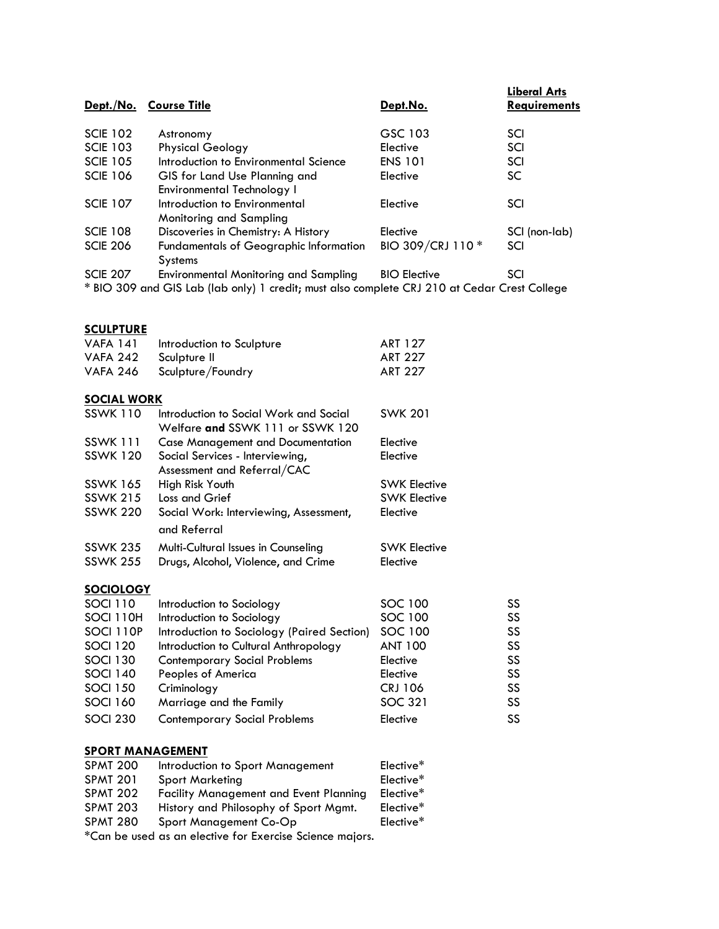| Dept./No.       | <b>Course Title</b>                                             | Dept.No.                                     | <b>Liberal Arts</b><br><b>Requirements</b> |
|-----------------|-----------------------------------------------------------------|----------------------------------------------|--------------------------------------------|
| <b>SCIE 102</b> | Astronomy                                                       | GSC 103                                      | SCI                                        |
| <b>SCIE 103</b> | <b>Physical Geology</b>                                         | Elective                                     | SCI                                        |
| <b>SCIE 105</b> | Introduction to Environmental Science                           | <b>ENS 101</b>                               | SCI                                        |
| <b>SCIE 106</b> | GIS for Land Use Planning and<br>Environmental Technology I     | Elective                                     | <b>SC</b>                                  |
| <b>SCIE 107</b> | Introduction to Environmental<br>Monitoring and Sampling        | Elective                                     | SCI                                        |
| <b>SCIE 108</b> | Discoveries in Chemistry: A History                             | Elective                                     | SCI (non-lab)                              |
| <b>SCIE 206</b> | <b>Fundamentals of Geographic Information</b><br><b>Systems</b> | BIO 309/CRJ 110 *                            | SCI                                        |
| <b>SCIE 207</b> | <b>Environmental Monitoring and Sampling</b>                    | <b>BIO Elective</b>                          | SCI                                        |
| $*$ DIO 200     | وسعو المعارم المستحدث القاعدية التقارب والمال والمنات الكالك    | $l_{\rm obs}$ CDL 210 at Carlos Cast Callage |                                            |

*\** BIO 309 and GIS Lab (lab only) 1 credit; must also complete CRJ 210 at Cedar Crest College

## **[SCULPTURE](http://www.bucks.edu/academics/courses/syllabus/index.php?lookup=VAFA246)**

| <b>VAFA 141</b>    | Introduction to Sculpture                                                  | <b>ART 127</b>      |    |
|--------------------|----------------------------------------------------------------------------|---------------------|----|
| <b>VAFA 242</b>    | Sculpture II                                                               | <b>ART 227</b>      |    |
| <b>VAFA 246</b>    | Sculpture/Foundry                                                          | <b>ART 227</b>      |    |
| <b>SOCIAL WORK</b> |                                                                            |                     |    |
| <b>SSWK 110</b>    | Introduction to Social Work and Social<br>Welfare and SSWK 111 or SSWK 120 | <b>SWK 201</b>      |    |
| <b>SSWK 111</b>    | <b>Case Management and Documentation</b>                                   | Elective            |    |
| <b>SSWK 120</b>    | Social Services - Interviewing,<br>Assessment and Referral/CAC             | Elective            |    |
| <b>SSWK 165</b>    | High Risk Youth                                                            | <b>SWK Elective</b> |    |
| <b>SSWK 215</b>    | Loss and Grief                                                             | <b>SWK Elective</b> |    |
| <b>SSWK 220</b>    | Social Work: Interviewing, Assessment,<br>and Referral                     | Elective            |    |
| <b>SSWK 235</b>    | Multi-Cultural Issues in Counseling                                        | <b>SWK Elective</b> |    |
| <b>SSWK 255</b>    | Drugs, Alcohol, Violence, and Crime                                        | Elective            |    |
| <b>SOCIOLOGY</b>   |                                                                            |                     |    |
| <b>SOCI 110</b>    | Introduction to Sociology                                                  | <b>SOC 100</b>      | SS |
| SOCI 110H          | Introduction to Sociology                                                  | <b>SOC 100</b>      | SS |
| SOCI 110P          | Introduction to Sociology (Paired Section)                                 | SOC 100             | SS |
| <b>SOCI 120</b>    | Introduction to Cultural Anthropology                                      | <b>ANT 100</b>      | SS |
| <b>SOCI 130</b>    | <b>Contemporary Social Problems</b>                                        | Elective            | SS |
| <b>SOCI 140</b>    | Peoples of America                                                         | Elective            | SS |
| <b>SOCI 150</b>    | Criminology                                                                | <b>CRJ 106</b>      | SS |
| <b>SOCI 160</b>    | Marriage and the Family                                                    | SOC 321             | SS |
| <b>SOCI 230</b>    | <b>Contemporary Social Problems</b>                                        | Elective            | SS |

## **[SPORT MANAGEMENT](http://www.bucks.edu/catalog/courses/kinesiology/sports/)**

| <b>SPMT 200</b> | Introduction to Sport Management                         | Elective* |
|-----------------|----------------------------------------------------------|-----------|
| <b>SPMT 201</b> | <b>Sport Marketing</b>                                   | Elective* |
| <b>SPMT 202</b> | <b>Facility Management and Event Planning</b>            | Elective* |
| <b>SPMT 203</b> | History and Philosophy of Sport Mgmt.                    | Elective* |
| <b>SPMT 280</b> | Sport Management Co-Op                                   | Elective* |
|                 | *Can be used as an elective for Exercise Science majors. |           |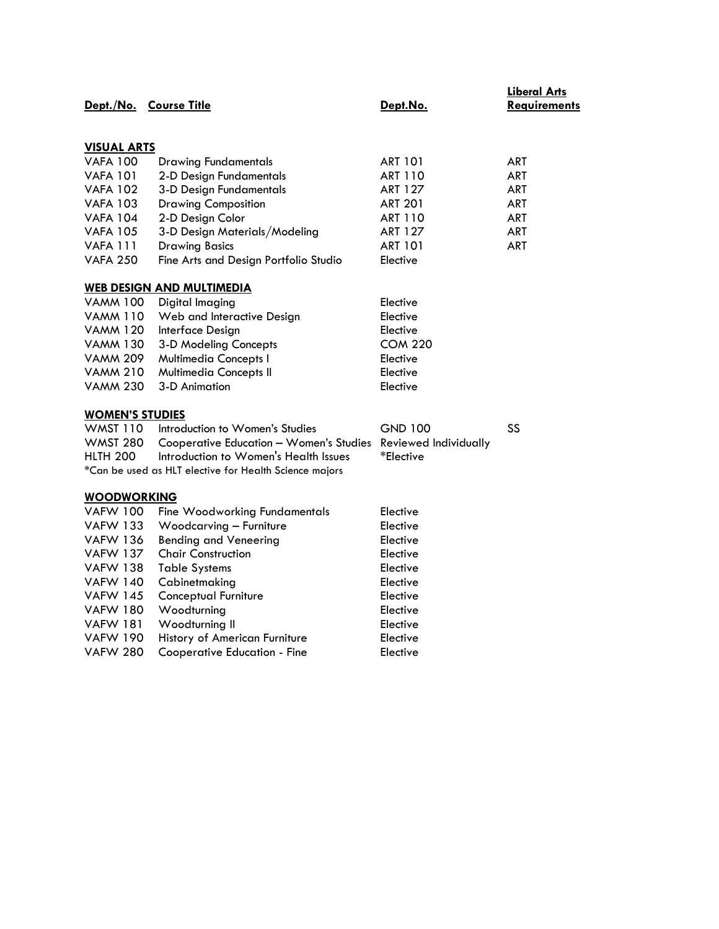|                        | Dept./No. Course Title                                 | Dept.No.              | <b>Liberal Arts</b><br><b>Requirements</b> |
|------------------------|--------------------------------------------------------|-----------------------|--------------------------------------------|
| <b>VISUAL ARTS</b>     |                                                        |                       |                                            |
| <b>VAFA 100</b>        | <b>Drawing Fundamentals</b>                            | <b>ART 101</b>        | ART                                        |
| <b>VAFA 101</b>        | 2-D Design Fundamentals                                | ART 110               | <b>ART</b>                                 |
| <b>VAFA 102</b>        | 3-D Design Fundamentals                                | <b>ART 127</b>        | <b>ART</b>                                 |
| <b>VAFA 103</b>        | <b>Drawing Composition</b>                             | <b>ART 201</b>        | <b>ART</b>                                 |
| <b>VAFA 104</b>        | 2-D Design Color                                       | ART 110               | <b>ART</b>                                 |
| VAFA 105               | 3-D Design Materials/Modeling                          | ART 127               | <b>ART</b>                                 |
| VAFA 111               | <b>Drawing Basics</b>                                  | <b>ART 101</b>        | <b>ART</b>                                 |
| <b>VAFA 250</b>        | Fine Arts and Design Portfolio Studio                  | Elective              |                                            |
|                        | <b>WEB DESIGN AND MULTIMEDIA</b>                       |                       |                                            |
| <b>VAMM 100</b>        | Digital Imaging                                        | Elective              |                                            |
| <b>VAMM 110</b>        | Web and Interactive Design                             | Elective              |                                            |
| VAMM 120               | Interface Design                                       | Elective              |                                            |
| VAMM 130               | 3-D Modeling Concepts                                  | <b>COM 220</b>        |                                            |
| <b>VAMM 209</b>        | <b>Multimedia Concepts I</b>                           | Elective              |                                            |
| <b>VAMM 210</b>        | <b>Multimedia Concepts II</b>                          | Elective              |                                            |
| VAMM 230               | 3-D Animation                                          | Elective              |                                            |
| <b>WOMEN'S STUDIES</b> |                                                        |                       |                                            |
| WMST 110               | Introduction to Women's Studies                        | <b>GND 100</b>        | SS                                         |
| <b>WMST 280</b>        | Cooperative Education - Women's Studies                | Reviewed Individually |                                            |
| <b>HLTH 200</b>        | Introduction to Women's Health Issues                  | *Elective             |                                            |
|                        | *Can be used as HLT elective for Health Science majors |                       |                                            |
| <b>WOODWORKING</b>     |                                                        |                       |                                            |
| <b>VAFW 100</b>        | Fine Woodworking Fundamentals                          | Elective              |                                            |
| <b>VAFW 133</b>        | <b>Woodcarving - Furniture</b>                         | Elective              |                                            |
| <b>VAFW 136</b>        | <b>Bending and Veneering</b>                           | Elective              |                                            |
| <b>VAFW 137</b>        | <b>Chair Construction</b>                              | Elective              |                                            |
| <b>VAFW 138</b>        | <b>Table Systems</b>                                   | Elective              |                                            |
| <b>VAFW 140</b>        | Cabinetmaking                                          | Elective              |                                            |
| <b>VAFW 145</b>        | <b>Conceptual Furniture</b>                            | Elective              |                                            |
| VAFW 180               | Woodturning                                            | Elective              |                                            |
| <b>VAFW 181</b>        | Woodturning II                                         | Elective              |                                            |
| <b>VAFW 190</b>        | History of American Furniture                          | Elective              |                                            |
| <b>VAFW 280</b>        | <b>Cooperative Education - Fine</b>                    | Elective              |                                            |